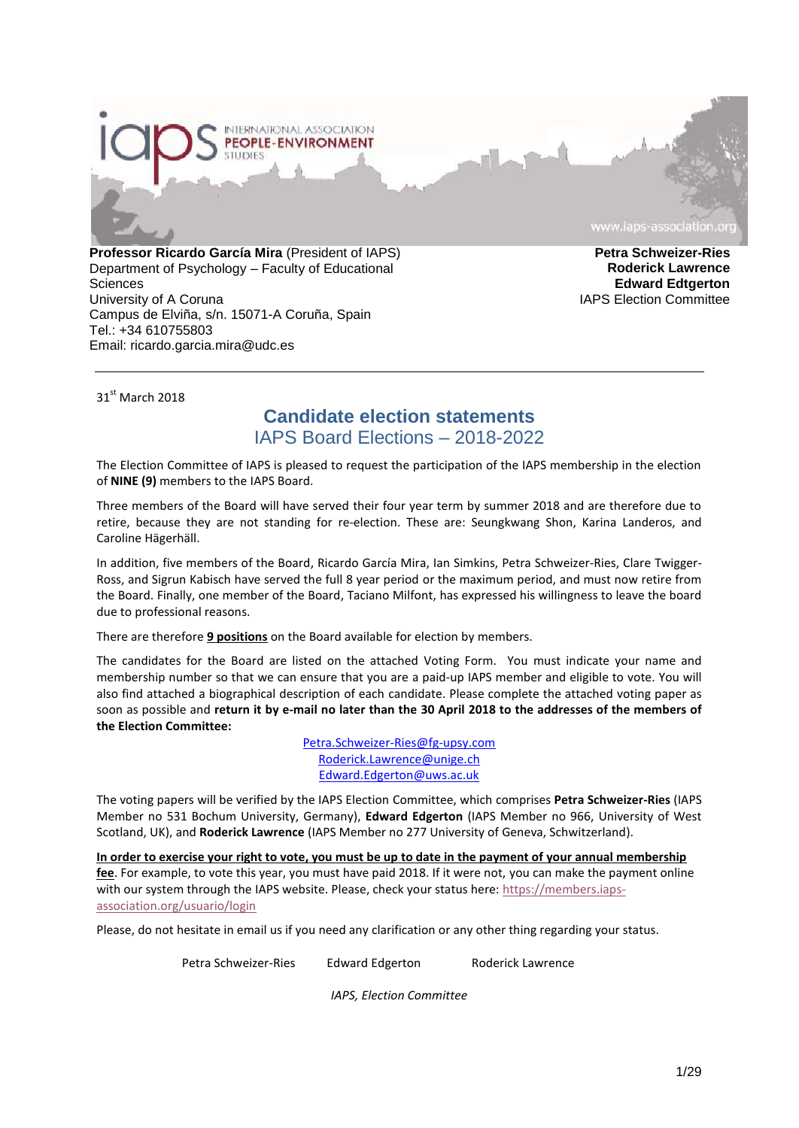

University of A Coruna Campus de Elviña, s/n. 15071-A Coruña, Spain Tel.: +34 610755803 Email: ricardo.garcia.mira@udc.es

IAPS Election Committee

31<sup>st</sup> March 2018

# **Candidate election statements**  IAPS Board Elections – 2018-2022

The Election Committee of IAPS is pleased to request the participation of the IAPS membership in the election of **NINE (9)** members to the IAPS Board.

Three members of the Board will have served their four year term by summer 2018 and are therefore due to retire, because they are not standing for re-election. These are: Seungkwang Shon, Karina Landeros, and Caroline Hägerhäll.

In addition, five members of the Board, Ricardo García Mira, Ian Simkins, Petra Schweizer-Ries, Clare Twigger-Ross, and Sigrun Kabisch have served the full 8 year period or the maximum period, and must now retire from the Board. Finally, one member of the Board, Taciano Milfont, has expressed his willingness to leave the board due to professional reasons.

There are therefore **9 positions** on the Board available for election by members.

The candidates for the Board are listed on the attached Voting Form. You must indicate your name and membership number so that we can ensure that you are a paid-up IAPS member and eligible to vote. You will also find attached a biographical description of each candidate. Please complete the attached voting paper as soon as possible and **return it by e-mail no later than the 30 April 2018 to the addresses of the members of the Election Committee:**

> [Petra.Schweizer-Ries@fg-upsy.com](mailto:Petra.Schweizer-Ries@fg-upsy.com) [Roderick.Lawrence@unige.ch](mailto:Roderick.Lawrence@unige.ch) [Edward.Edgerton@uws.ac.uk](mailto:Edward.Edgerton@uws.ac.uk)

The voting papers will be verified by the IAPS Election Committee, which comprises **Petra Schweizer-Ries** (IAPS Member no 531 Bochum University, Germany), **Edward Edgerton** (IAPS Member no 966, University of West Scotland, UK), and **Roderick Lawrence** (IAPS Member no 277 University of Geneva, Schwitzerland).

**In order to exercise your right to vote, you must be up to date in the payment of your annual membership fee**. For example, to vote this year, you must have paid 2018. If it were not, you can make the payment online with our system through the IAPS website. Please, check your status here: [https://members.iaps](https://members.iaps-association.org/usuario/login)[association.org/usuario/login](https://members.iaps-association.org/usuario/login)

Please, do not hesitate in email us if you need any clarification or any other thing regarding your status.

Petra Schweizer-Ries Edward Edgerton Roderick Lawrence

*IAPS, Election Committee*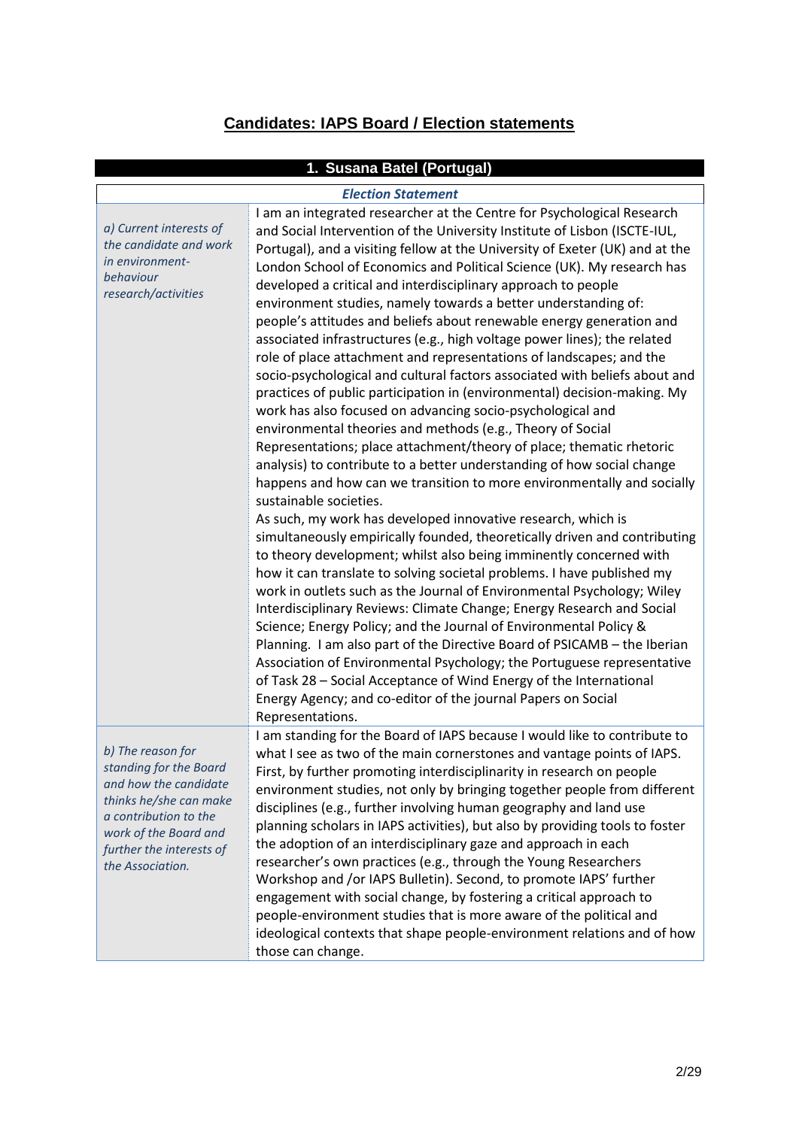# **Candidates: IAPS Board / Election statements**

| 1. Susana Batel (Portugal)                                                                                                                                                                       |                                                                                                                                                                                                                                                                                                                                                                                                                                                                                                                                                                                                                                                                                                                                                                                                                                                                                                                                                                                                                                                                                                                                                                                                                                                                                                                                                                                                                                                                                                                                                                                                                                                                                                                                                                                                                                                                                                                                                                                                                                          |
|--------------------------------------------------------------------------------------------------------------------------------------------------------------------------------------------------|------------------------------------------------------------------------------------------------------------------------------------------------------------------------------------------------------------------------------------------------------------------------------------------------------------------------------------------------------------------------------------------------------------------------------------------------------------------------------------------------------------------------------------------------------------------------------------------------------------------------------------------------------------------------------------------------------------------------------------------------------------------------------------------------------------------------------------------------------------------------------------------------------------------------------------------------------------------------------------------------------------------------------------------------------------------------------------------------------------------------------------------------------------------------------------------------------------------------------------------------------------------------------------------------------------------------------------------------------------------------------------------------------------------------------------------------------------------------------------------------------------------------------------------------------------------------------------------------------------------------------------------------------------------------------------------------------------------------------------------------------------------------------------------------------------------------------------------------------------------------------------------------------------------------------------------------------------------------------------------------------------------------------------------|
| <b>Election Statement</b>                                                                                                                                                                        |                                                                                                                                                                                                                                                                                                                                                                                                                                                                                                                                                                                                                                                                                                                                                                                                                                                                                                                                                                                                                                                                                                                                                                                                                                                                                                                                                                                                                                                                                                                                                                                                                                                                                                                                                                                                                                                                                                                                                                                                                                          |
| a) Current interests of<br>the candidate and work<br>in environment-<br>behaviour<br>research/activities                                                                                         | I am an integrated researcher at the Centre for Psychological Research<br>and Social Intervention of the University Institute of Lisbon (ISCTE-IUL,<br>Portugal), and a visiting fellow at the University of Exeter (UK) and at the<br>London School of Economics and Political Science (UK). My research has<br>developed a critical and interdisciplinary approach to people<br>environment studies, namely towards a better understanding of:<br>people's attitudes and beliefs about renewable energy generation and<br>associated infrastructures (e.g., high voltage power lines); the related<br>role of place attachment and representations of landscapes; and the<br>socio-psychological and cultural factors associated with beliefs about and<br>practices of public participation in (environmental) decision-making. My<br>work has also focused on advancing socio-psychological and<br>environmental theories and methods (e.g., Theory of Social<br>Representations; place attachment/theory of place; thematic rhetoric<br>analysis) to contribute to a better understanding of how social change<br>happens and how can we transition to more environmentally and socially<br>sustainable societies.<br>As such, my work has developed innovative research, which is<br>simultaneously empirically founded, theoretically driven and contributing<br>to theory development; whilst also being imminently concerned with<br>how it can translate to solving societal problems. I have published my<br>work in outlets such as the Journal of Environmental Psychology; Wiley<br>Interdisciplinary Reviews: Climate Change; Energy Research and Social<br>Science; Energy Policy; and the Journal of Environmental Policy &<br>Planning. I am also part of the Directive Board of PSICAMB - the Iberian<br>Association of Environmental Psychology; the Portuguese representative<br>of Task 28 - Social Acceptance of Wind Energy of the International<br>Energy Agency; and co-editor of the journal Papers on Social |
| b) The reason for<br>standing for the Board<br>and how the candidate<br>thinks he/she can make<br>a contribution to the<br>work of the Board and<br>further the interests of<br>the Association. | Representations.<br>I am standing for the Board of IAPS because I would like to contribute to<br>what I see as two of the main cornerstones and vantage points of IAPS.<br>First, by further promoting interdisciplinarity in research on people<br>environment studies, not only by bringing together people from different<br>disciplines (e.g., further involving human geography and land use<br>planning scholars in IAPS activities), but also by providing tools to foster<br>the adoption of an interdisciplinary gaze and approach in each<br>researcher's own practices (e.g., through the Young Researchers<br>Workshop and /or IAPS Bulletin). Second, to promote IAPS' further<br>engagement with social change, by fostering a critical approach to<br>people-environment studies that is more aware of the political and<br>ideological contexts that shape people-environment relations and of how<br>those can change.                                                                                                                                                                                                                                                                                                                                                                                                                                                                                                                                                                                                                                                                                                                                                                                                                                                                                                                                                                                                                                                                                                  |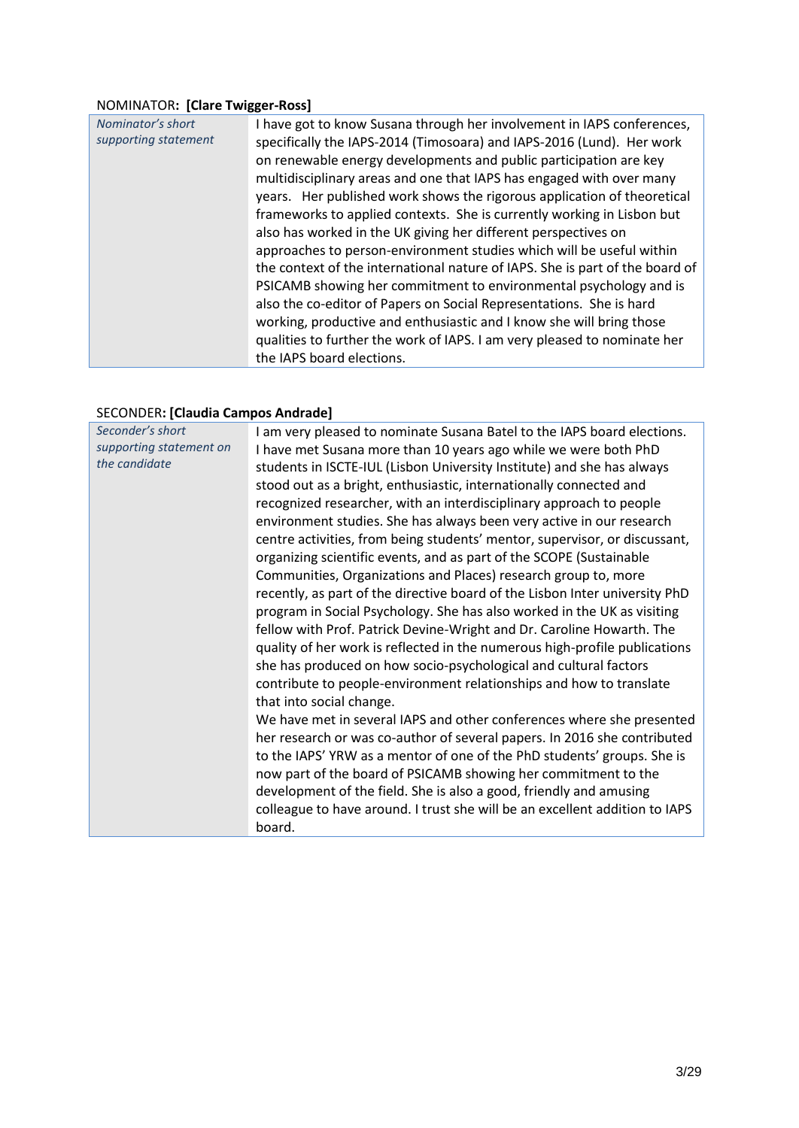# NOMINATOR**: [Clare Twigger-Ross]**

| Nominator's short<br>supporting statement | I have got to know Susana through her involvement in IAPS conferences,<br>specifically the IAPS-2014 (Timosoara) and IAPS-2016 (Lund). Her work<br>on renewable energy developments and public participation are key<br>multidisciplinary areas and one that IAPS has engaged with over many<br>years. Her published work shows the rigorous application of theoretical<br>frameworks to applied contexts. She is currently working in Lisbon but<br>also has worked in the UK giving her different perspectives on<br>approaches to person-environment studies which will be useful within<br>the context of the international nature of IAPS. She is part of the board of<br>PSICAMB showing her commitment to environmental psychology and is<br>also the co-editor of Papers on Social Representations. She is hard<br>working, productive and enthusiastic and I know she will bring those<br>qualities to further the work of IAPS. I am very pleased to nominate her<br>the IAPS board elections. |
|-------------------------------------------|----------------------------------------------------------------------------------------------------------------------------------------------------------------------------------------------------------------------------------------------------------------------------------------------------------------------------------------------------------------------------------------------------------------------------------------------------------------------------------------------------------------------------------------------------------------------------------------------------------------------------------------------------------------------------------------------------------------------------------------------------------------------------------------------------------------------------------------------------------------------------------------------------------------------------------------------------------------------------------------------------------|
|-------------------------------------------|----------------------------------------------------------------------------------------------------------------------------------------------------------------------------------------------------------------------------------------------------------------------------------------------------------------------------------------------------------------------------------------------------------------------------------------------------------------------------------------------------------------------------------------------------------------------------------------------------------------------------------------------------------------------------------------------------------------------------------------------------------------------------------------------------------------------------------------------------------------------------------------------------------------------------------------------------------------------------------------------------------|

### SECONDER**: [Claudia Campos Andrade]**

| Seconder's short        | I am very pleased to nominate Susana Batel to the IAPS board elections.     |
|-------------------------|-----------------------------------------------------------------------------|
| supporting statement on | I have met Susana more than 10 years ago while we were both PhD             |
| the candidate           | students in ISCTE-IUL (Lisbon University Institute) and she has always      |
|                         | stood out as a bright, enthusiastic, internationally connected and          |
|                         | recognized researcher, with an interdisciplinary approach to people         |
|                         | environment studies. She has always been very active in our research        |
|                         | centre activities, from being students' mentor, supervisor, or discussant,  |
|                         | organizing scientific events, and as part of the SCOPE (Sustainable         |
|                         | Communities, Organizations and Places) research group to, more              |
|                         | recently, as part of the directive board of the Lisbon Inter university PhD |
|                         | program in Social Psychology. She has also worked in the UK as visiting     |
|                         | fellow with Prof. Patrick Devine-Wright and Dr. Caroline Howarth. The       |
|                         | quality of her work is reflected in the numerous high-profile publications  |
|                         | she has produced on how socio-psychological and cultural factors            |
|                         | contribute to people-environment relationships and how to translate         |
|                         | that into social change.                                                    |
|                         | We have met in several IAPS and other conferences where she presented       |
|                         | her research or was co-author of several papers. In 2016 she contributed    |
|                         | to the IAPS' YRW as a mentor of one of the PhD students' groups. She is     |
|                         | now part of the board of PSICAMB showing her commitment to the              |
|                         | development of the field. She is also a good, friendly and amusing          |
|                         | colleague to have around. I trust she will be an excellent addition to IAPS |
|                         | board.                                                                      |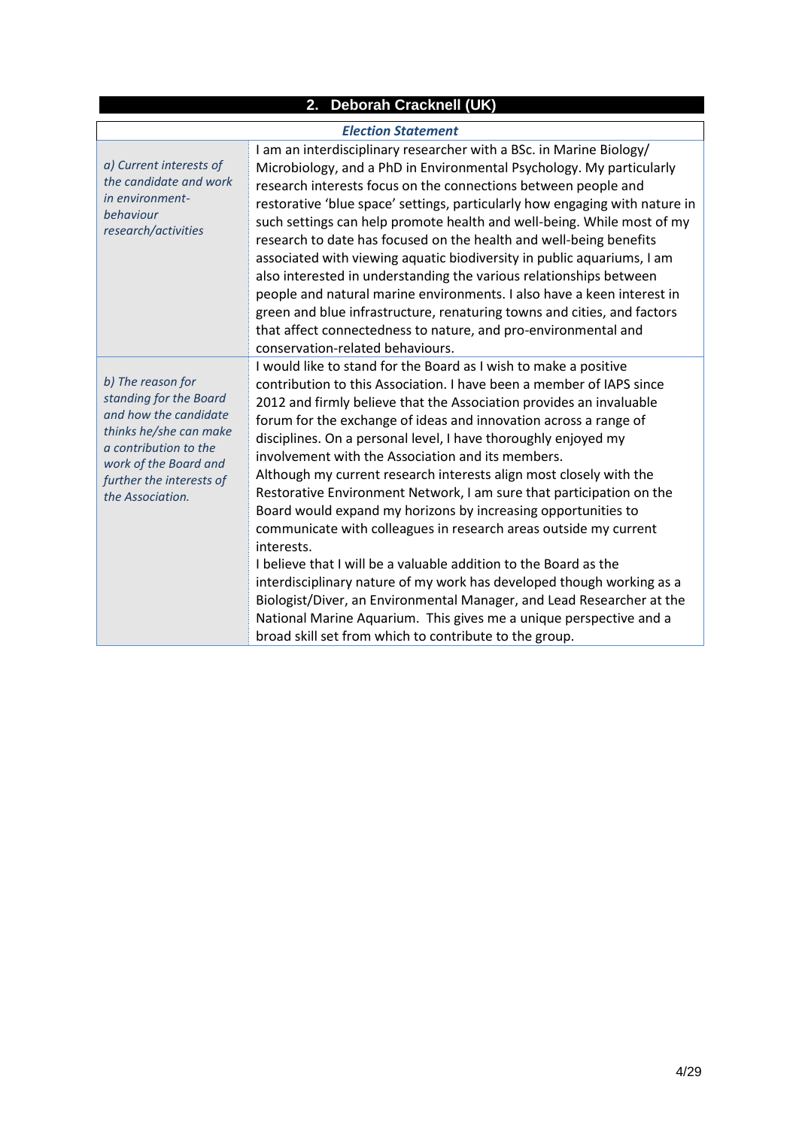|                                                                                                                                                                                                  | 2.<br><b>Deborah Cracknell (UK)</b>                                                                                                                                                                                                                                                                                                                                                                                                                                                                                                                                                                                                                                                                                                                                                                                                                                                                                                                                                                                                                               |
|--------------------------------------------------------------------------------------------------------------------------------------------------------------------------------------------------|-------------------------------------------------------------------------------------------------------------------------------------------------------------------------------------------------------------------------------------------------------------------------------------------------------------------------------------------------------------------------------------------------------------------------------------------------------------------------------------------------------------------------------------------------------------------------------------------------------------------------------------------------------------------------------------------------------------------------------------------------------------------------------------------------------------------------------------------------------------------------------------------------------------------------------------------------------------------------------------------------------------------------------------------------------------------|
| <b>Election Statement</b>                                                                                                                                                                        |                                                                                                                                                                                                                                                                                                                                                                                                                                                                                                                                                                                                                                                                                                                                                                                                                                                                                                                                                                                                                                                                   |
| a) Current interests of<br>the candidate and work<br>in environment-<br>behaviour<br>research/activities                                                                                         | I am an interdisciplinary researcher with a BSc. in Marine Biology/<br>Microbiology, and a PhD in Environmental Psychology. My particularly<br>research interests focus on the connections between people and<br>restorative 'blue space' settings, particularly how engaging with nature in<br>such settings can help promote health and well-being. While most of my<br>research to date has focused on the health and well-being benefits<br>associated with viewing aquatic biodiversity in public aquariums, I am<br>also interested in understanding the various relationships between<br>people and natural marine environments. I also have a keen interest in<br>green and blue infrastructure, renaturing towns and cities, and factors<br>that affect connectedness to nature, and pro-environmental and<br>conservation-related behaviours.                                                                                                                                                                                                           |
| b) The reason for<br>standing for the Board<br>and how the candidate<br>thinks he/she can make<br>a contribution to the<br>work of the Board and<br>further the interests of<br>the Association. | I would like to stand for the Board as I wish to make a positive<br>contribution to this Association. I have been a member of IAPS since<br>2012 and firmly believe that the Association provides an invaluable<br>forum for the exchange of ideas and innovation across a range of<br>disciplines. On a personal level, I have thoroughly enjoyed my<br>involvement with the Association and its members.<br>Although my current research interests align most closely with the<br>Restorative Environment Network, I am sure that participation on the<br>Board would expand my horizons by increasing opportunities to<br>communicate with colleagues in research areas outside my current<br>interests.<br>I believe that I will be a valuable addition to the Board as the<br>interdisciplinary nature of my work has developed though working as a<br>Biologist/Diver, an Environmental Manager, and Lead Researcher at the<br>National Marine Aquarium. This gives me a unique perspective and a<br>broad skill set from which to contribute to the group. |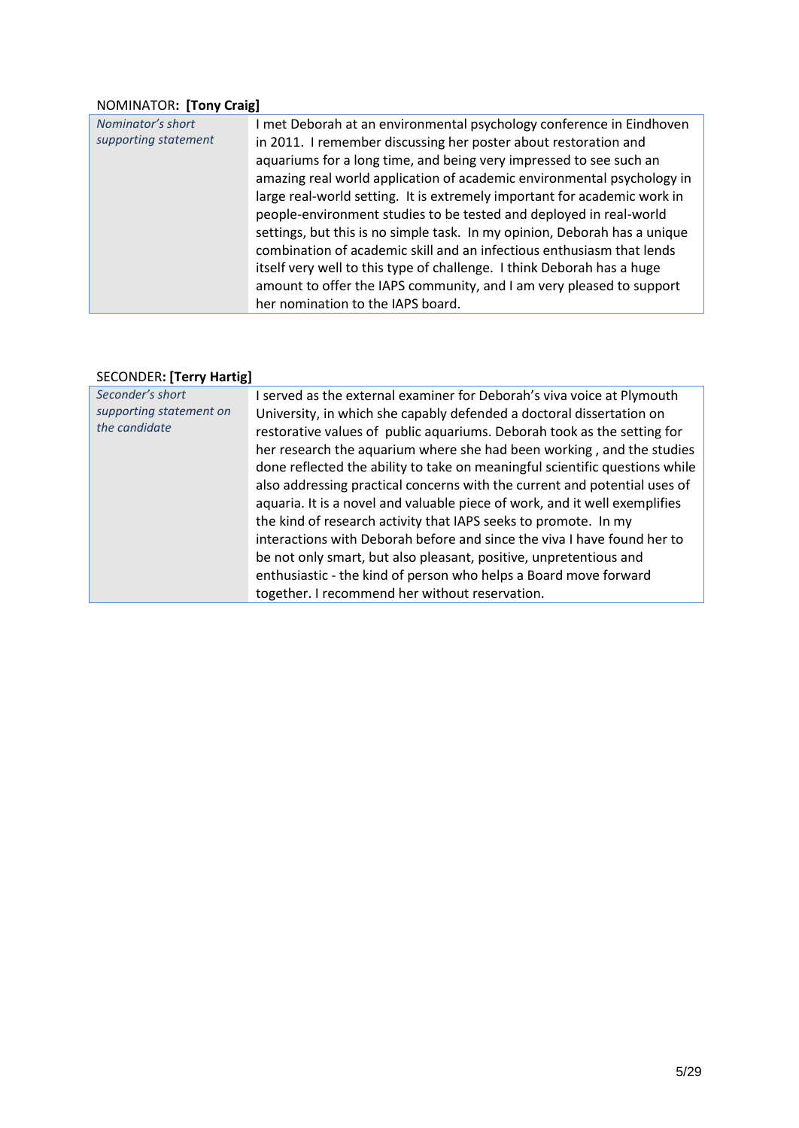# NOMINATOR**: [Tony Craig]**

| Nominator's short    | I met Deborah at an environmental psychology conference in Eindhoven      |
|----------------------|---------------------------------------------------------------------------|
| supporting statement | in 2011. I remember discussing her poster about restoration and           |
|                      | aquariums for a long time, and being very impressed to see such an        |
|                      | amazing real world application of academic environmental psychology in    |
|                      | large real-world setting. It is extremely important for academic work in  |
|                      | people-environment studies to be tested and deployed in real-world        |
|                      | settings, but this is no simple task. In my opinion, Deborah has a unique |
|                      | combination of academic skill and an infectious enthusiasm that lends     |
|                      | itself very well to this type of challenge. I think Deborah has a huge    |
|                      | amount to offer the IAPS community, and I am very pleased to support      |
|                      | her nomination to the IAPS board.                                         |

# SECONDER**: [Terry Hartig]**

| Seconder's short        | I served as the external examiner for Deborah's viva voice at Plymouth      |
|-------------------------|-----------------------------------------------------------------------------|
| supporting statement on | University, in which she capably defended a doctoral dissertation on        |
| the candidate           | restorative values of public aquariums. Deborah took as the setting for     |
|                         | her research the aquarium where she had been working, and the studies       |
|                         | done reflected the ability to take on meaningful scientific questions while |
|                         | also addressing practical concerns with the current and potential uses of   |
|                         | aquaria. It is a novel and valuable piece of work, and it well exemplifies  |
|                         | the kind of research activity that IAPS seeks to promote. In my             |
|                         | interactions with Deborah before and since the viva I have found her to     |
|                         | be not only smart, but also pleasant, positive, unpretentious and           |
|                         | enthusiastic - the kind of person who helps a Board move forward            |
|                         | together. I recommend her without reservation.                              |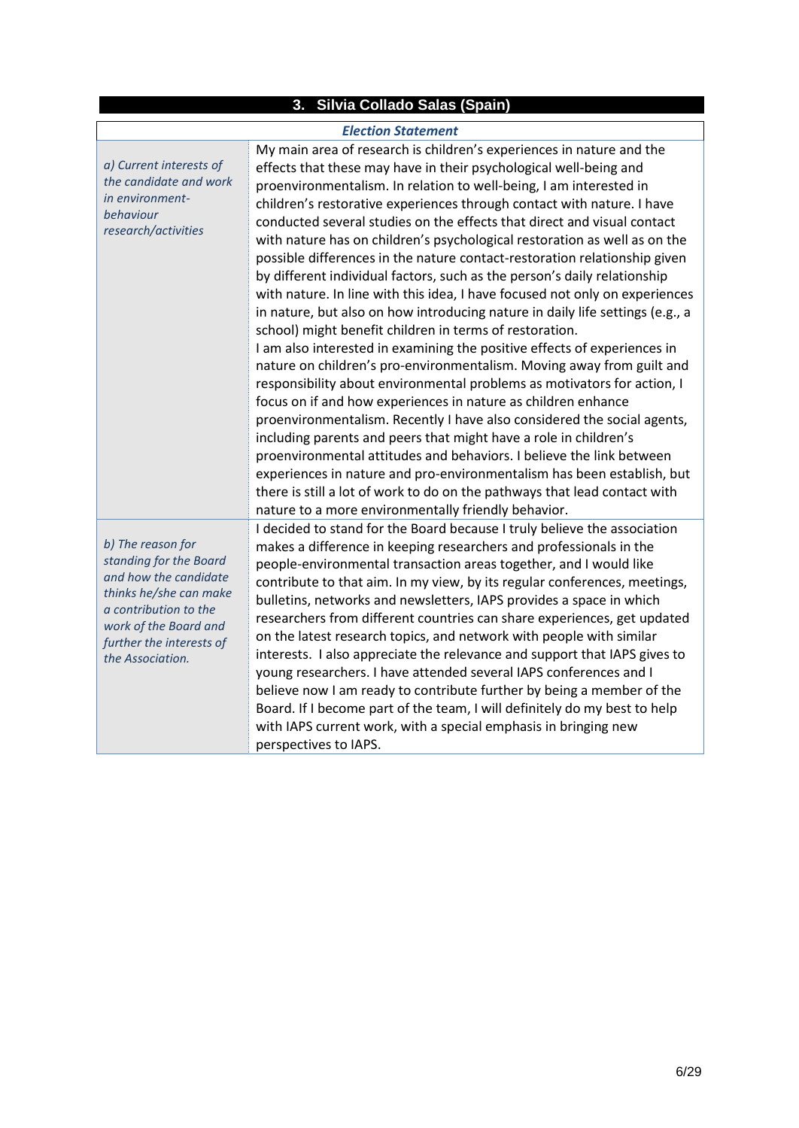| 3. Silvia Collado Salas (Spain). |  |  |
|----------------------------------|--|--|
|----------------------------------|--|--|

# *Election Statement*

Г

| Election Statement                                                                                                                                                                               |                                                                                                                                                                                                                                                                                                                                                                                                                                                                                                                                                                                                                                                                                                                                                                                                                                                                                                                                                                                                                                                                                                                                                                                                                                                                                                                                                                                                                                                                                                                                                                             |
|--------------------------------------------------------------------------------------------------------------------------------------------------------------------------------------------------|-----------------------------------------------------------------------------------------------------------------------------------------------------------------------------------------------------------------------------------------------------------------------------------------------------------------------------------------------------------------------------------------------------------------------------------------------------------------------------------------------------------------------------------------------------------------------------------------------------------------------------------------------------------------------------------------------------------------------------------------------------------------------------------------------------------------------------------------------------------------------------------------------------------------------------------------------------------------------------------------------------------------------------------------------------------------------------------------------------------------------------------------------------------------------------------------------------------------------------------------------------------------------------------------------------------------------------------------------------------------------------------------------------------------------------------------------------------------------------------------------------------------------------------------------------------------------------|
| a) Current interests of<br>the candidate and work<br>in environment-<br>behaviour<br>research/activities                                                                                         | My main area of research is children's experiences in nature and the<br>effects that these may have in their psychological well-being and<br>proenvironmentalism. In relation to well-being, I am interested in<br>children's restorative experiences through contact with nature. I have<br>conducted several studies on the effects that direct and visual contact<br>with nature has on children's psychological restoration as well as on the<br>possible differences in the nature contact-restoration relationship given<br>by different individual factors, such as the person's daily relationship<br>with nature. In line with this idea, I have focused not only on experiences<br>in nature, but also on how introducing nature in daily life settings (e.g., a<br>school) might benefit children in terms of restoration.<br>I am also interested in examining the positive effects of experiences in<br>nature on children's pro-environmentalism. Moving away from guilt and<br>responsibility about environmental problems as motivators for action, I<br>focus on if and how experiences in nature as children enhance<br>proenvironmentalism. Recently I have also considered the social agents,<br>including parents and peers that might have a role in children's<br>proenvironmental attitudes and behaviors. I believe the link between<br>experiences in nature and pro-environmentalism has been establish, but<br>there is still a lot of work to do on the pathways that lead contact with<br>nature to a more environmentally friendly behavior. |
| b) The reason for<br>standing for the Board<br>and how the candidate<br>thinks he/she can make<br>a contribution to the<br>work of the Board and<br>further the interests of<br>the Association. | I decided to stand for the Board because I truly believe the association<br>makes a difference in keeping researchers and professionals in the<br>people-environmental transaction areas together, and I would like<br>contribute to that aim. In my view, by its regular conferences, meetings,<br>bulletins, networks and newsletters, IAPS provides a space in which<br>researchers from different countries can share experiences, get updated<br>on the latest research topics, and network with people with similar<br>interests. I also appreciate the relevance and support that IAPS gives to<br>young researchers. I have attended several IAPS conferences and I<br>believe now I am ready to contribute further by being a member of the<br>Board. If I become part of the team, I will definitely do my best to help<br>with IAPS current work, with a special emphasis in bringing new<br>perspectives to IAPS.                                                                                                                                                                                                                                                                                                                                                                                                                                                                                                                                                                                                                                               |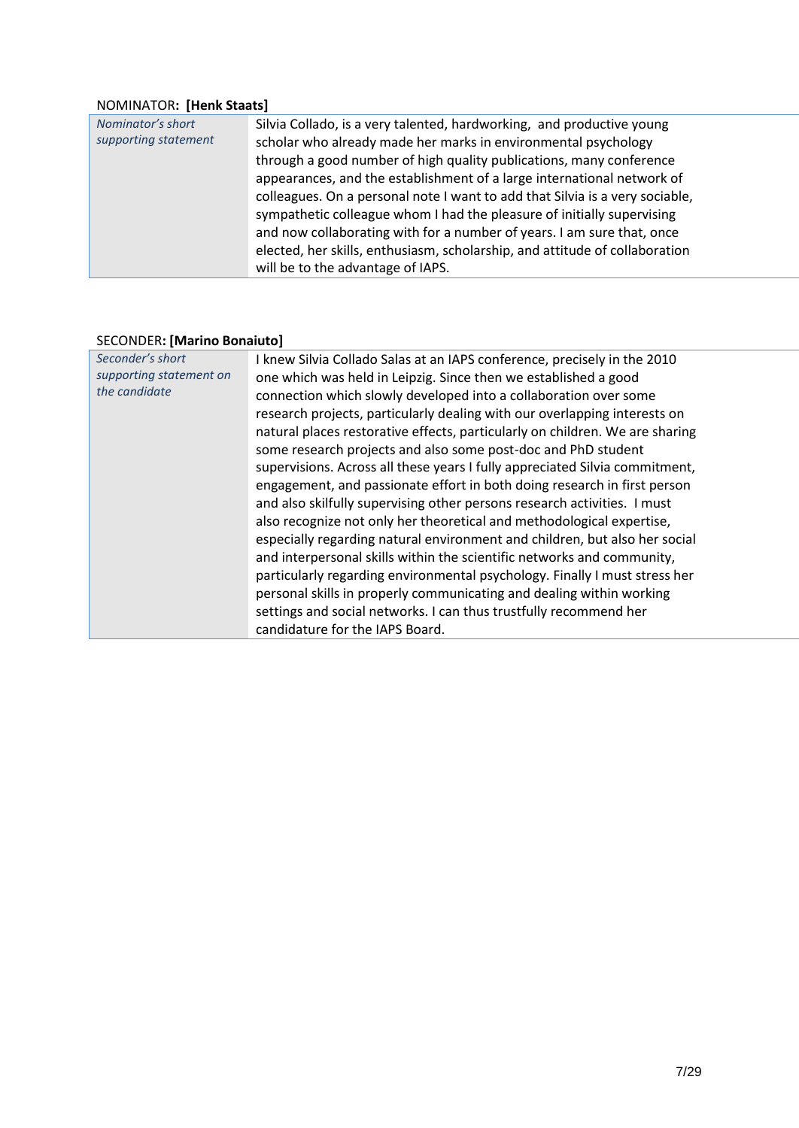# NOMINATOR**: [Henk Staats]**

| Nominator's short<br>supporting statement | Silvia Collado, is a very talented, hardworking, and productive young<br>scholar who already made her marks in environmental psychology<br>through a good number of high quality publications, many conference<br>appearances, and the establishment of a large international network of<br>colleagues. On a personal note I want to add that Silvia is a very sociable,<br>sympathetic colleague whom I had the pleasure of initially supervising<br>and now collaborating with for a number of years. I am sure that, once<br>elected, her skills, enthusiasm, scholarship, and attitude of collaboration<br>will be to the advantage of IAPS. |
|-------------------------------------------|--------------------------------------------------------------------------------------------------------------------------------------------------------------------------------------------------------------------------------------------------------------------------------------------------------------------------------------------------------------------------------------------------------------------------------------------------------------------------------------------------------------------------------------------------------------------------------------------------------------------------------------------------|
|-------------------------------------------|--------------------------------------------------------------------------------------------------------------------------------------------------------------------------------------------------------------------------------------------------------------------------------------------------------------------------------------------------------------------------------------------------------------------------------------------------------------------------------------------------------------------------------------------------------------------------------------------------------------------------------------------------|

# SECONDER**: [Marino Bonaiuto]**

| Seconder's short        | I knew Silvia Collado Salas at an IAPS conference, precisely in the 2010     |
|-------------------------|------------------------------------------------------------------------------|
| supporting statement on | one which was held in Leipzig. Since then we established a good              |
| the candidate           | connection which slowly developed into a collaboration over some             |
|                         | research projects, particularly dealing with our overlapping interests on    |
|                         | natural places restorative effects, particularly on children. We are sharing |
|                         | some research projects and also some post-doc and PhD student                |
|                         | supervisions. Across all these years I fully appreciated Silvia commitment,  |
|                         | engagement, and passionate effort in both doing research in first person     |
|                         | and also skilfully supervising other persons research activities. I must     |
|                         | also recognize not only her theoretical and methodological expertise,        |
|                         | especially regarding natural environment and children, but also her social   |
|                         | and interpersonal skills within the scientific networks and community,       |
|                         | particularly regarding environmental psychology. Finally I must stress her   |
|                         | personal skills in properly communicating and dealing within working         |
|                         | settings and social networks. I can thus trustfully recommend her            |
|                         | candidature for the IAPS Board.                                              |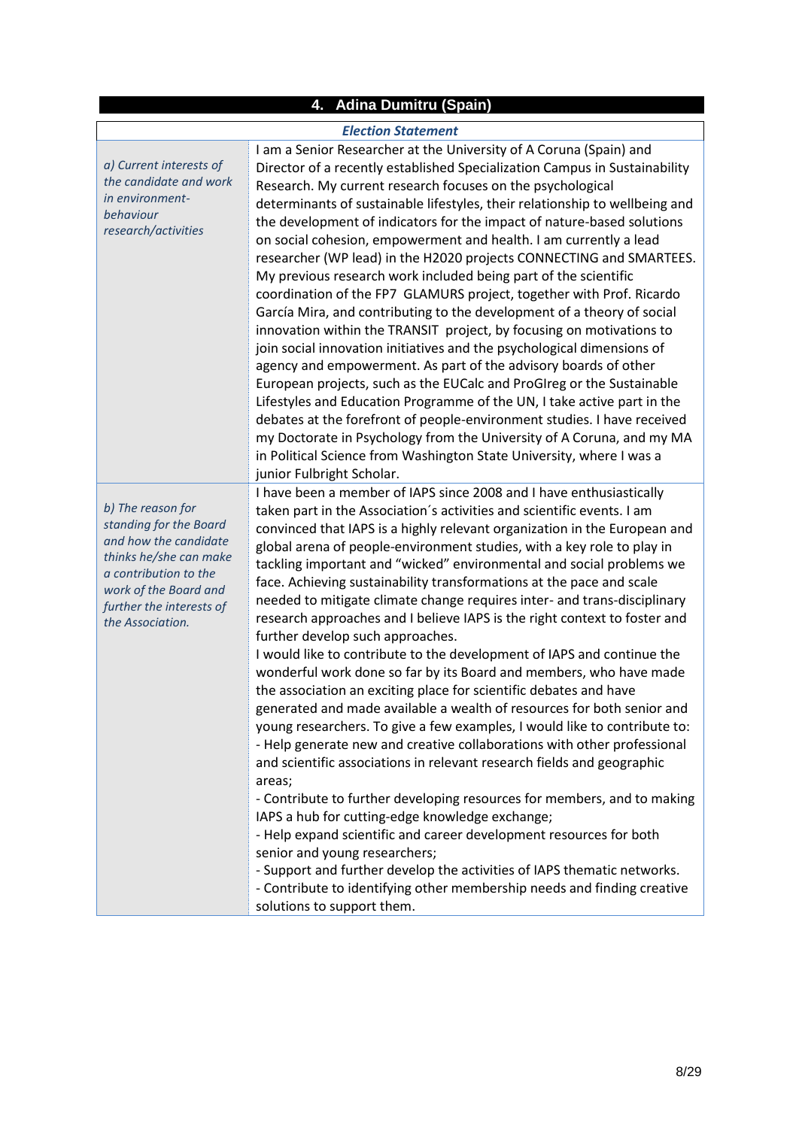#### **4. Adina Dumitru (Spain)**

#### *Election Statement*

*a) Current interests of the candidate and work in environmentbehaviour research/activities*

I am a Senior Researcher at the University of A Coruna (Spain) and Director of a recently established Specialization Campus in Sustainability Research. My current research focuses on the psychological determinants of sustainable lifestyles, their relationship to wellbeing and the development of indicators for the impact of nature-based solutions on social cohesion, empowerment and health. I am currently a lead researcher (WP lead) in the H2020 projects CONNECTING and SMARTEES. My previous research work included being part of the scientific coordination of the FP7 GLAMURS project, together with Prof. Ricardo García Mira, and contributing to the development of a theory of social innovation within the TRANSIT project, by focusing on motivations to join social innovation initiatives and the psychological dimensions of agency and empowerment. As part of the advisory boards of other European projects, such as the EUCalc and ProGIreg or the Sustainable Lifestyles and Education Programme of the UN, I take active part in the debates at the forefront of people-environment studies. I have received my Doctorate in Psychology from the University of A Coruna, and my MA in Political Science from Washington State University, where I was a junior Fulbright Scholar.

*b) The reason for standing for the Board and how the candidate thinks he/she can make a contribution to the work of the Board and further the interests of the Association.* 

I have been a member of IAPS since 2008 and I have enthusiastically taken part in the Association´s activities and scientific events. I am convinced that IAPS is a highly relevant organization in the European and global arena of people-environment studies, with a key role to play in tackling important and "wicked" environmental and social problems we face. Achieving sustainability transformations at the pace and scale needed to mitigate climate change requires inter- and trans-disciplinary research approaches and I believe IAPS is the right context to foster and further develop such approaches.

I would like to contribute to the development of IAPS and continue the wonderful work done so far by its Board and members, who have made the association an exciting place for scientific debates and have generated and made available a wealth of resources for both senior and young researchers. To give a few examples, I would like to contribute to: - Help generate new and creative collaborations with other professional and scientific associations in relevant research fields and geographic areas;

- Contribute to further developing resources for members, and to making IAPS a hub for cutting-edge knowledge exchange;

- Help expand scientific and career development resources for both senior and young researchers;

- Support and further develop the activities of IAPS thematic networks. - Contribute to identifying other membership needs and finding creative solutions to support them.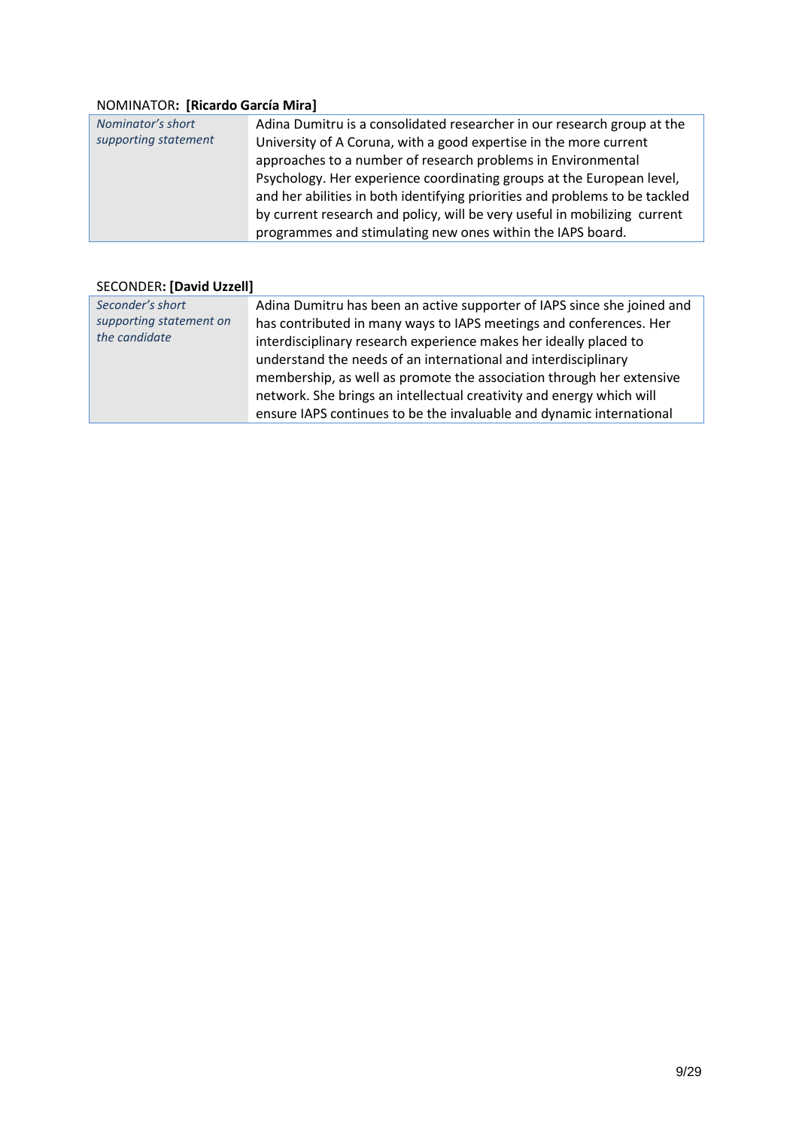# NOMINATOR**: [Ricardo García Mira]**

| Nominator's short    | Adina Dumitru is a consolidated researcher in our research group at the     |
|----------------------|-----------------------------------------------------------------------------|
| supporting statement | University of A Coruna, with a good expertise in the more current           |
|                      | approaches to a number of research problems in Environmental                |
|                      | Psychology. Her experience coordinating groups at the European level,       |
|                      | and her abilities in both identifying priorities and problems to be tackled |
|                      | by current research and policy, will be very useful in mobilizing current   |
|                      | programmes and stimulating new ones within the IAPS board.                  |

# SECONDER**: [David Uzzell]**

| Seconder's short        | Adina Dumitru has been an active supporter of IAPS since she joined and |
|-------------------------|-------------------------------------------------------------------------|
| supporting statement on | has contributed in many ways to IAPS meetings and conferences. Her      |
| the candidate           | interdisciplinary research experience makes her ideally placed to       |
|                         | understand the needs of an international and interdisciplinary          |
|                         | membership, as well as promote the association through her extensive    |
|                         | network. She brings an intellectual creativity and energy which will    |
|                         | ensure IAPS continues to be the invaluable and dynamic international    |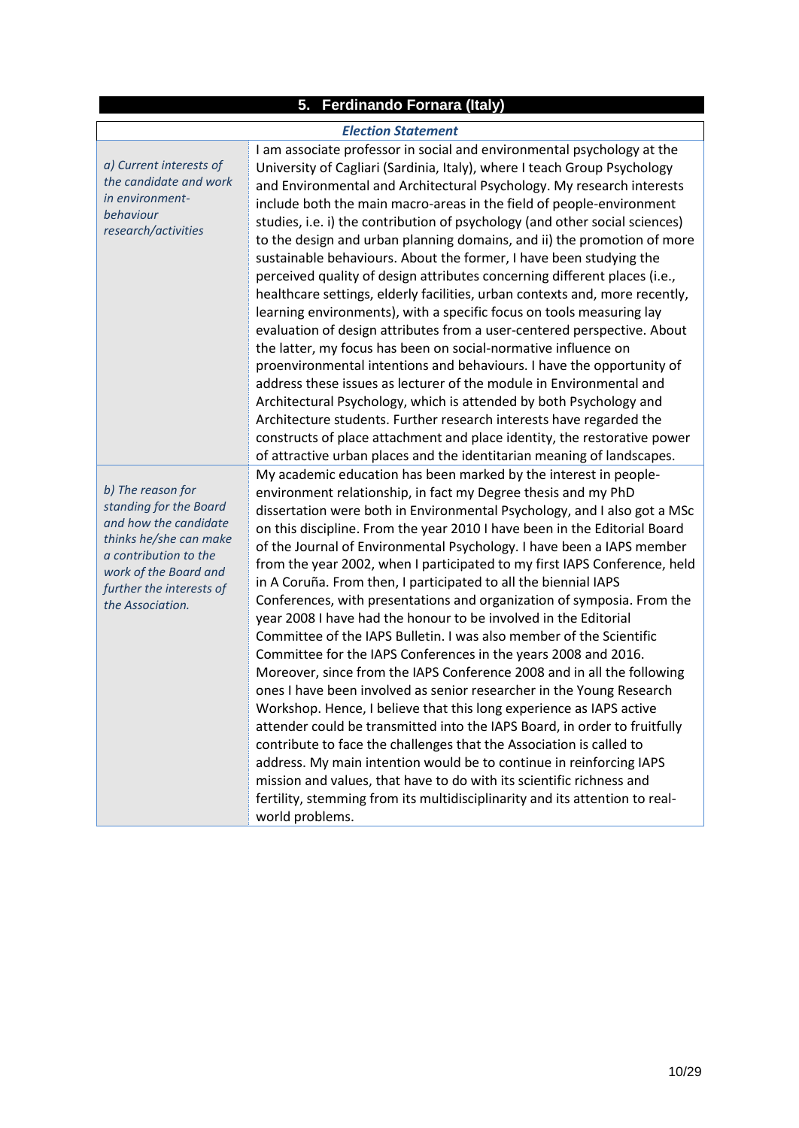#### **5. Ferdinando Fornara (Italy)**

#### *Election Statement*

*a) Current interests of the candidate and work in environmentbehaviour research/activities*

*b) The reason for standing for the Board and how the candidate thinks he/she can make a contribution to the work of the Board and further the interests of the Association.* 

I am associate professor in social and environmental psychology at the University of Cagliari (Sardinia, Italy), where I teach Group Psychology and Environmental and Architectural Psychology. My research interests include both the main macro-areas in the field of people-environment studies, i.e. i) the contribution of psychology (and other social sciences) to the design and urban planning domains, and ii) the promotion of more sustainable behaviours. About the former, I have been studying the perceived quality of design attributes concerning different places (i.e., healthcare settings, elderly facilities, urban contexts and, more recently, learning environments), with a specific focus on tools measuring lay evaluation of design attributes from a user-centered perspective. About the latter, my focus has been on social-normative influence on proenvironmental intentions and behaviours. I have the opportunity of address these issues as lecturer of the module in Environmental and Architectural Psychology, which is attended by both Psychology and Architecture students. Further research interests have regarded the constructs of place attachment and place identity, the restorative power of attractive urban places and the identitarian meaning of landscapes. My academic education has been marked by the interest in peopleenvironment relationship, in fact my Degree thesis and my PhD dissertation were both in Environmental Psychology, and I also got a MSc on this discipline. From the year 2010 I have been in the Editorial Board of the Journal of Environmental Psychology. I have been a IAPS member from the year 2002, when I participated to my first IAPS Conference, held in A Coruña. From then, I participated to all the biennial IAPS Conferences, with presentations and organization of symposia. From the year 2008 I have had the honour to be involved in the Editorial Committee of the IAPS Bulletin. I was also member of the Scientific Committee for the IAPS Conferences in the years 2008 and 2016. Moreover, since from the IAPS Conference 2008 and in all the following ones I have been involved as senior researcher in the Young Research Workshop. Hence, I believe that this long experience as IAPS active attender could be transmitted into the IAPS Board, in order to fruitfully contribute to face the challenges that the Association is called to address. My main intention would be to continue in reinforcing IAPS mission and values, that have to do with its scientific richness and fertility, stemming from its multidisciplinarity and its attention to realworld problems.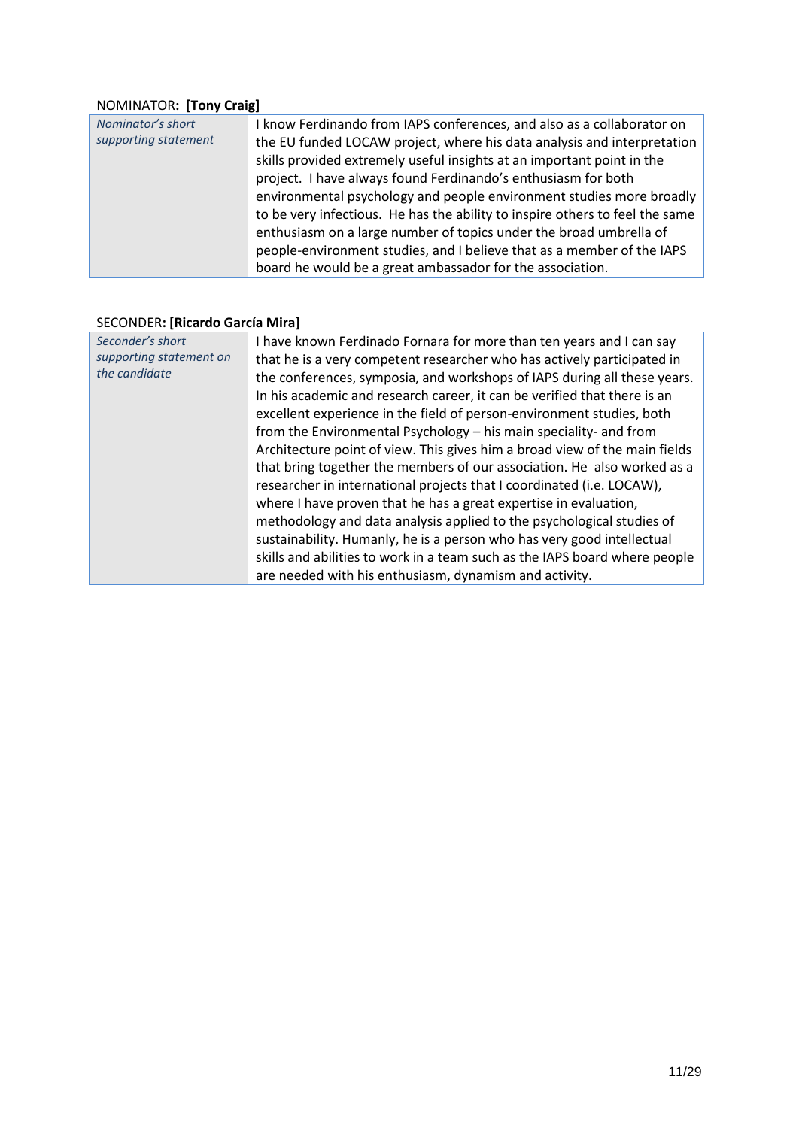# NOMINATOR**: [Tony Craig]**

| Nominator's short    | I know Ferdinando from IAPS conferences, and also as a collaborator on       |  |
|----------------------|------------------------------------------------------------------------------|--|
| supporting statement | the EU funded LOCAW project, where his data analysis and interpretation      |  |
|                      | skills provided extremely useful insights at an important point in the       |  |
|                      | project. I have always found Ferdinando's enthusiasm for both                |  |
|                      | environmental psychology and people environment studies more broadly         |  |
|                      | to be very infectious. He has the ability to inspire others to feel the same |  |
|                      | enthusiasm on a large number of topics under the broad umbrella of           |  |
|                      | people-environment studies, and I believe that as a member of the IAPS       |  |
|                      | board he would be a great ambassador for the association.                    |  |

# SECONDER**: [Ricardo García Mira]**

| Seconder's short                                                         | I have known Ferdinado Fornara for more than ten years and I can say                                                                                  |  |
|--------------------------------------------------------------------------|-------------------------------------------------------------------------------------------------------------------------------------------------------|--|
| supporting statement on                                                  | that he is a very competent researcher who has actively participated in                                                                               |  |
| the candidate                                                            | the conferences, symposia, and workshops of IAPS during all these years.                                                                              |  |
| In his academic and research career, it can be verified that there is an |                                                                                                                                                       |  |
|                                                                          | excellent experience in the field of person-environment studies, both                                                                                 |  |
|                                                                          | from the Environmental Psychology - his main speciality- and from                                                                                     |  |
|                                                                          | Architecture point of view. This gives him a broad view of the main fields<br>that bring together the members of our association. He also worked as a |  |
|                                                                          |                                                                                                                                                       |  |
|                                                                          | researcher in international projects that I coordinated (i.e. LOCAW),                                                                                 |  |
|                                                                          | where I have proven that he has a great expertise in evaluation,                                                                                      |  |
|                                                                          | methodology and data analysis applied to the psychological studies of                                                                                 |  |
|                                                                          | sustainability. Humanly, he is a person who has very good intellectual                                                                                |  |
|                                                                          | skills and abilities to work in a team such as the IAPS board where people                                                                            |  |
|                                                                          | are needed with his enthusiasm, dynamism and activity.                                                                                                |  |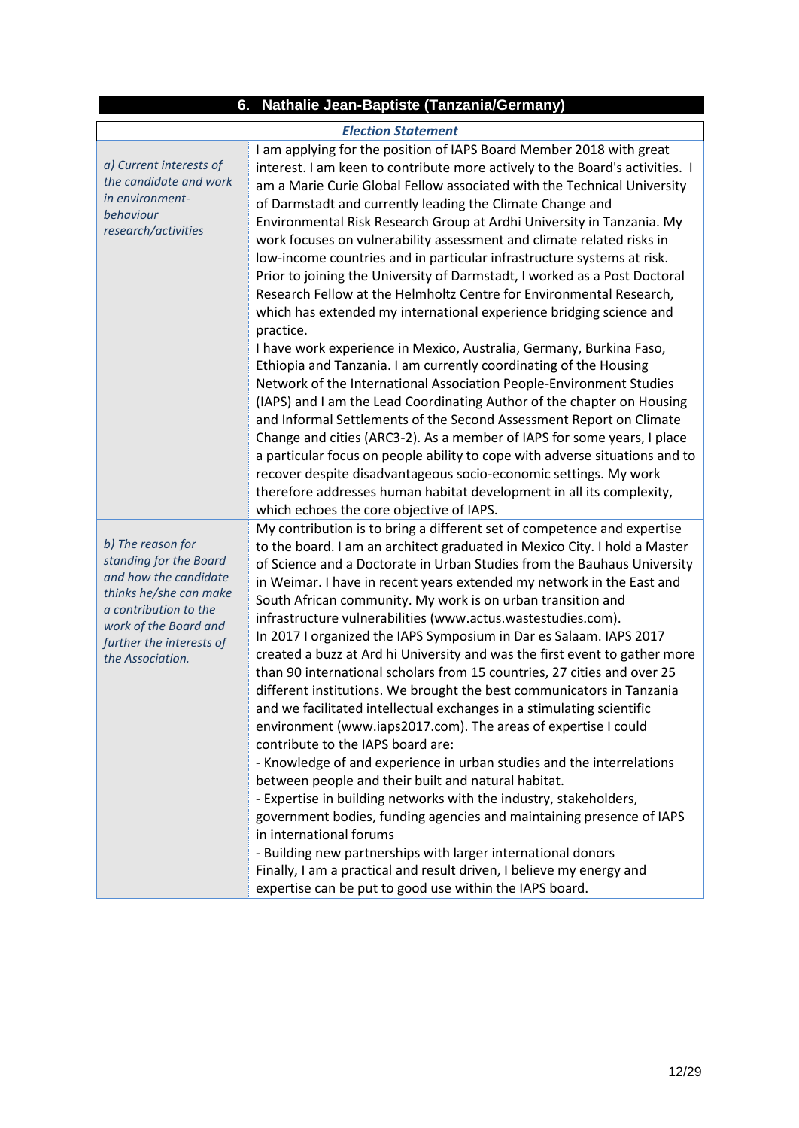|                                                                                                                                                                                                  | 6. Nathalie Jean-Baptiste (Tanzania/Germany)                                                                                                                                                                                                                                                                                                                                                                                                                                                                                                                                                                                                                                                                                                                                                                                                                                                                                                                                                                                                                                                                                                                                                                                                                                                                                                                                                                                                                                           |
|--------------------------------------------------------------------------------------------------------------------------------------------------------------------------------------------------|----------------------------------------------------------------------------------------------------------------------------------------------------------------------------------------------------------------------------------------------------------------------------------------------------------------------------------------------------------------------------------------------------------------------------------------------------------------------------------------------------------------------------------------------------------------------------------------------------------------------------------------------------------------------------------------------------------------------------------------------------------------------------------------------------------------------------------------------------------------------------------------------------------------------------------------------------------------------------------------------------------------------------------------------------------------------------------------------------------------------------------------------------------------------------------------------------------------------------------------------------------------------------------------------------------------------------------------------------------------------------------------------------------------------------------------------------------------------------------------|
|                                                                                                                                                                                                  | <b>Election Statement</b>                                                                                                                                                                                                                                                                                                                                                                                                                                                                                                                                                                                                                                                                                                                                                                                                                                                                                                                                                                                                                                                                                                                                                                                                                                                                                                                                                                                                                                                              |
| a) Current interests of<br>the candidate and work<br>in environment-<br>behaviour<br>research/activities                                                                                         | I am applying for the position of IAPS Board Member 2018 with great<br>interest. I am keen to contribute more actively to the Board's activities. I<br>am a Marie Curie Global Fellow associated with the Technical University<br>of Darmstadt and currently leading the Climate Change and<br>Environmental Risk Research Group at Ardhi University in Tanzania. My<br>work focuses on vulnerability assessment and climate related risks in<br>low-income countries and in particular infrastructure systems at risk.<br>Prior to joining the University of Darmstadt, I worked as a Post Doctoral<br>Research Fellow at the Helmholtz Centre for Environmental Research,<br>which has extended my international experience bridging science and<br>practice.<br>I have work experience in Mexico, Australia, Germany, Burkina Faso,<br>Ethiopia and Tanzania. I am currently coordinating of the Housing<br>Network of the International Association People-Environment Studies<br>(IAPS) and I am the Lead Coordinating Author of the chapter on Housing<br>and Informal Settlements of the Second Assessment Report on Climate<br>Change and cities (ARC3-2). As a member of IAPS for some years, I place<br>a particular focus on people ability to cope with adverse situations and to<br>recover despite disadvantageous socio-economic settings. My work<br>therefore addresses human habitat development in all its complexity,                                              |
| b) The reason for<br>standing for the Board<br>and how the candidate<br>thinks he/she can make<br>a contribution to the<br>work of the Board and<br>further the interests of<br>the Association. | which echoes the core objective of IAPS.<br>My contribution is to bring a different set of competence and expertise<br>to the board. I am an architect graduated in Mexico City. I hold a Master<br>of Science and a Doctorate in Urban Studies from the Bauhaus University<br>in Weimar. I have in recent years extended my network in the East and<br>South African community. My work is on urban transition and<br>infrastructure vulnerabilities (www.actus.wastestudies.com).<br>In 2017 I organized the IAPS Symposium in Dar es Salaam. IAPS 2017<br>created a buzz at Ard hi University and was the first event to gather more<br>than 90 international scholars from 15 countries, 27 cities and over 25<br>different institutions. We brought the best communicators in Tanzania<br>and we facilitated intellectual exchanges in a stimulating scientific<br>environment (www.iaps2017.com). The areas of expertise I could<br>contribute to the IAPS board are:<br>- Knowledge of and experience in urban studies and the interrelations<br>between people and their built and natural habitat.<br>- Expertise in building networks with the industry, stakeholders,<br>government bodies, funding agencies and maintaining presence of IAPS<br>in international forums<br>- Building new partnerships with larger international donors<br>Finally, I am a practical and result driven, I believe my energy and<br>expertise can be put to good use within the IAPS board. |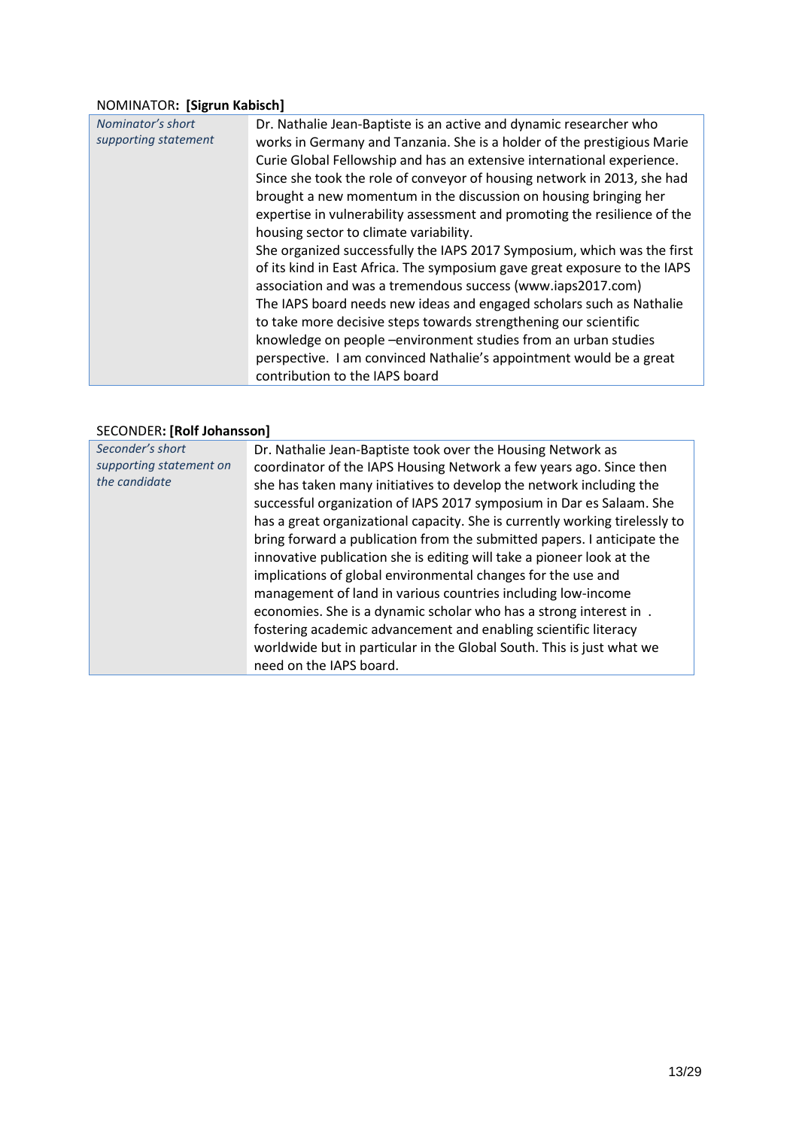### NOMINATOR**: [Sigrun Kabisch]**

| Nominator's short    | Dr. Nathalie Jean-Baptiste is an active and dynamic researcher who        |
|----------------------|---------------------------------------------------------------------------|
| supporting statement | works in Germany and Tanzania. She is a holder of the prestigious Marie   |
|                      | Curie Global Fellowship and has an extensive international experience.    |
|                      | Since she took the role of conveyor of housing network in 2013, she had   |
|                      | brought a new momentum in the discussion on housing bringing her          |
|                      | expertise in vulnerability assessment and promoting the resilience of the |
|                      | housing sector to climate variability.                                    |
|                      | She organized successfully the IAPS 2017 Symposium, which was the first   |
|                      | of its kind in East Africa. The symposium gave great exposure to the IAPS |
|                      | association and was a tremendous success (www.iaps2017.com)               |
|                      | The IAPS board needs new ideas and engaged scholars such as Nathalie      |
|                      | to take more decisive steps towards strengthening our scientific          |
|                      | knowledge on people -environment studies from an urban studies            |
|                      | perspective. I am convinced Nathalie's appointment would be a great       |
|                      | contribution to the IAPS board                                            |
|                      |                                                                           |

### SECONDER**: [Rolf Johansson]**

| Seconder's short<br>Dr. Nathalie Jean-Baptiste took over the Housing Network as<br>supporting statement on<br>coordinator of the IAPS Housing Network a few years ago. Since then<br>the candidate<br>she has taken many initiatives to develop the network including the<br>successful organization of IAPS 2017 symposium in Dar es Salaam. She<br>has a great organizational capacity. She is currently working tirelessly to<br>bring forward a publication from the submitted papers. I anticipate the<br>innovative publication she is editing will take a pioneer look at the<br>implications of global environmental changes for the use and<br>management of land in various countries including low-income<br>economies. She is a dynamic scholar who has a strong interest in.<br>fostering academic advancement and enabling scientific literacy<br>worldwide but in particular in the Global South. This is just what we<br>need on the IAPS board. |
|------------------------------------------------------------------------------------------------------------------------------------------------------------------------------------------------------------------------------------------------------------------------------------------------------------------------------------------------------------------------------------------------------------------------------------------------------------------------------------------------------------------------------------------------------------------------------------------------------------------------------------------------------------------------------------------------------------------------------------------------------------------------------------------------------------------------------------------------------------------------------------------------------------------------------------------------------------------|
|                                                                                                                                                                                                                                                                                                                                                                                                                                                                                                                                                                                                                                                                                                                                                                                                                                                                                                                                                                  |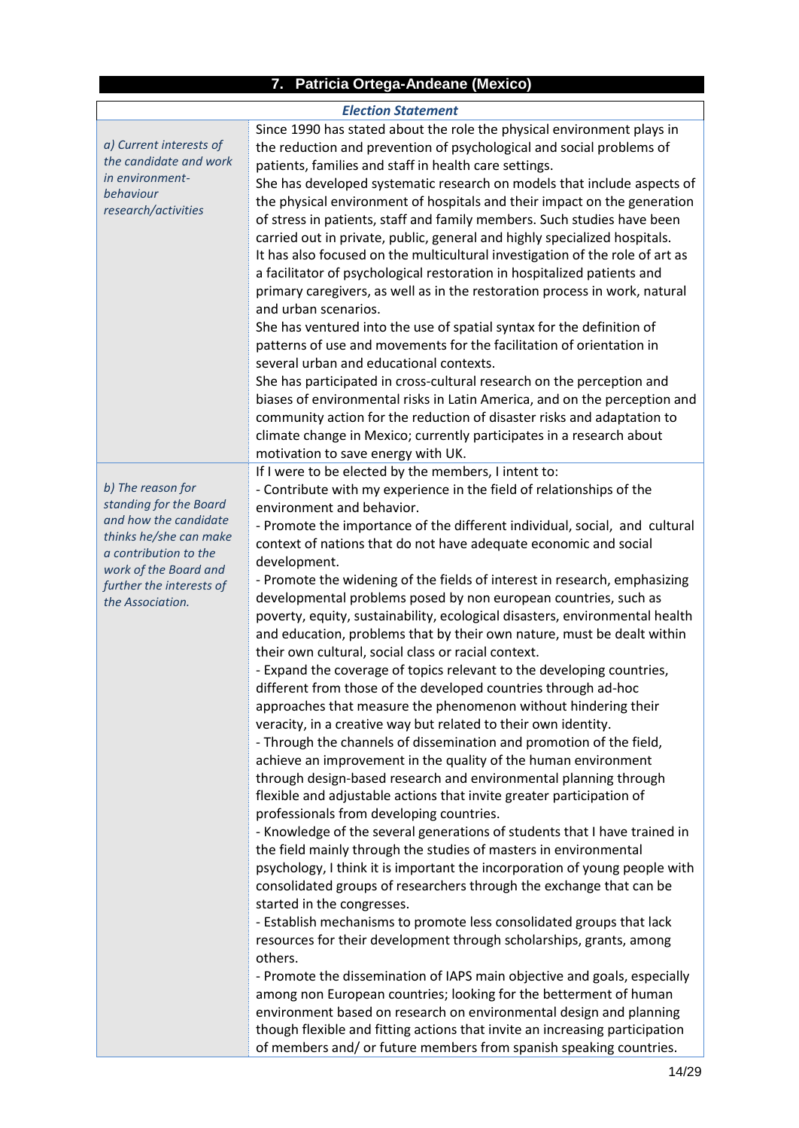# **7. Patricia Ortega-Andeane (Mexico)**

|                                                                                                                                                                                                  | <b>Election Statement</b>                                                                                                                                                                                                                                                                                                                                                                                                                                                                                                                                                                                                                                                                                                                                                                                                                                                                                                                                                                                                                                                                                                                                                                                                                                                                                                                                                                                                                                                                                                                                                                                                                                                                                                                                                                                                                                                                                                                                                                                                                                                                                                                                                             |
|--------------------------------------------------------------------------------------------------------------------------------------------------------------------------------------------------|---------------------------------------------------------------------------------------------------------------------------------------------------------------------------------------------------------------------------------------------------------------------------------------------------------------------------------------------------------------------------------------------------------------------------------------------------------------------------------------------------------------------------------------------------------------------------------------------------------------------------------------------------------------------------------------------------------------------------------------------------------------------------------------------------------------------------------------------------------------------------------------------------------------------------------------------------------------------------------------------------------------------------------------------------------------------------------------------------------------------------------------------------------------------------------------------------------------------------------------------------------------------------------------------------------------------------------------------------------------------------------------------------------------------------------------------------------------------------------------------------------------------------------------------------------------------------------------------------------------------------------------------------------------------------------------------------------------------------------------------------------------------------------------------------------------------------------------------------------------------------------------------------------------------------------------------------------------------------------------------------------------------------------------------------------------------------------------------------------------------------------------------------------------------------------------|
| a) Current interests of<br>the candidate and work<br>in environment-<br>behaviour<br>research/activities                                                                                         | Since 1990 has stated about the role the physical environment plays in<br>the reduction and prevention of psychological and social problems of<br>patients, families and staff in health care settings.<br>She has developed systematic research on models that include aspects of<br>the physical environment of hospitals and their impact on the generation<br>of stress in patients, staff and family members. Such studies have been<br>carried out in private, public, general and highly specialized hospitals.<br>It has also focused on the multicultural investigation of the role of art as<br>a facilitator of psychological restoration in hospitalized patients and<br>primary caregivers, as well as in the restoration process in work, natural<br>and urban scenarios.<br>She has ventured into the use of spatial syntax for the definition of<br>patterns of use and movements for the facilitation of orientation in<br>several urban and educational contexts.<br>She has participated in cross-cultural research on the perception and<br>biases of environmental risks in Latin America, and on the perception and<br>community action for the reduction of disaster risks and adaptation to<br>climate change in Mexico; currently participates in a research about<br>motivation to save energy with UK.                                                                                                                                                                                                                                                                                                                                                                                                                                                                                                                                                                                                                                                                                                                                                                                                                                                     |
|                                                                                                                                                                                                  |                                                                                                                                                                                                                                                                                                                                                                                                                                                                                                                                                                                                                                                                                                                                                                                                                                                                                                                                                                                                                                                                                                                                                                                                                                                                                                                                                                                                                                                                                                                                                                                                                                                                                                                                                                                                                                                                                                                                                                                                                                                                                                                                                                                       |
| b) The reason for<br>standing for the Board<br>and how the candidate<br>thinks he/she can make<br>a contribution to the<br>work of the Board and<br>further the interests of<br>the Association. | If I were to be elected by the members, I intent to:<br>- Contribute with my experience in the field of relationships of the<br>environment and behavior.<br>- Promote the importance of the different individual, social, and cultural<br>context of nations that do not have adequate economic and social<br>development.<br>- Promote the widening of the fields of interest in research, emphasizing<br>developmental problems posed by non european countries, such as<br>poverty, equity, sustainability, ecological disasters, environmental health<br>and education, problems that by their own nature, must be dealt within<br>their own cultural, social class or racial context.<br>- Expand the coverage of topics relevant to the developing countries,<br>different from those of the developed countries through ad-hoc<br>approaches that measure the phenomenon without hindering their<br>veracity, in a creative way but related to their own identity.<br>- Through the channels of dissemination and promotion of the field,<br>achieve an improvement in the quality of the human environment<br>through design-based research and environmental planning through<br>flexible and adjustable actions that invite greater participation of<br>professionals from developing countries.<br>- Knowledge of the several generations of students that I have trained in<br>the field mainly through the studies of masters in environmental<br>psychology, I think it is important the incorporation of young people with<br>consolidated groups of researchers through the exchange that can be<br>started in the congresses.<br>- Establish mechanisms to promote less consolidated groups that lack<br>resources for their development through scholarships, grants, among<br>others.<br>- Promote the dissemination of IAPS main objective and goals, especially<br>among non European countries; looking for the betterment of human<br>environment based on research on environmental design and planning<br>though flexible and fitting actions that invite an increasing participation<br>of members and/ or future members from spanish speaking countries. |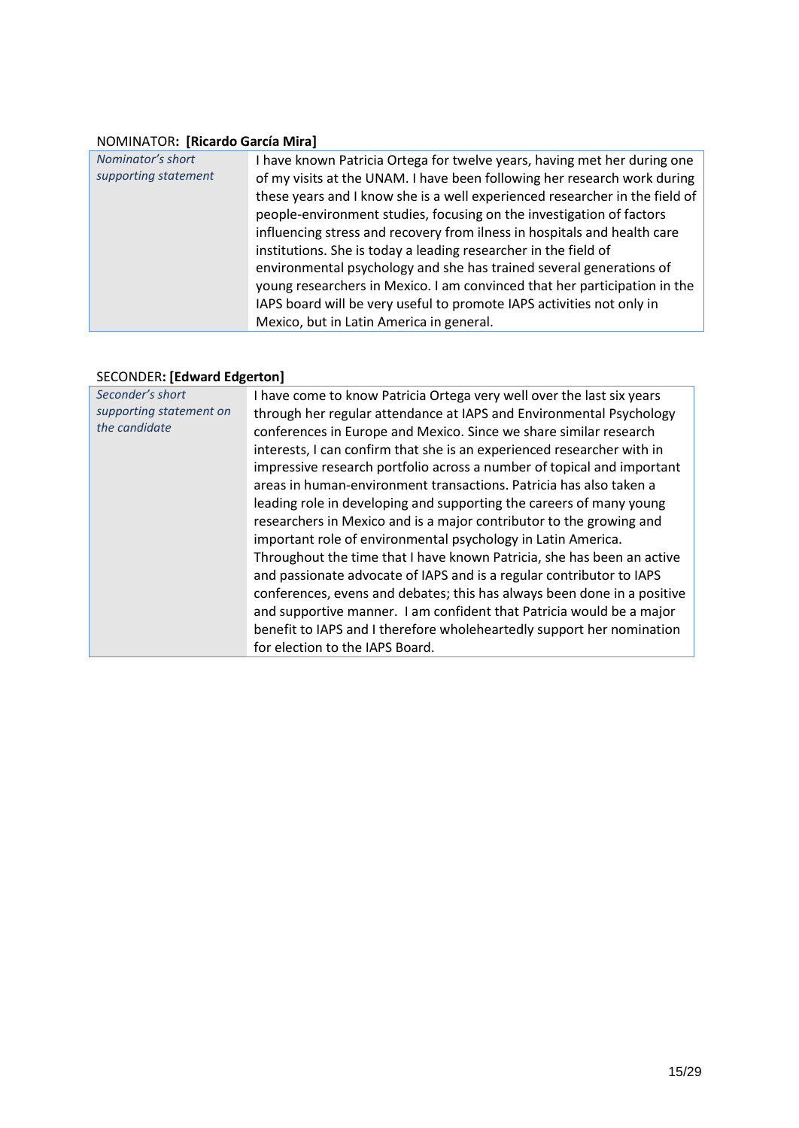# NOMINATOR**: [Ricardo García Mira]**

| Nominator's short    | I have known Patricia Ortega for twelve years, having met her during one    |  |
|----------------------|-----------------------------------------------------------------------------|--|
| supporting statement | of my visits at the UNAM. I have been following her research work during    |  |
|                      | these years and I know she is a well experienced researcher in the field of |  |
|                      | people-environment studies, focusing on the investigation of factors        |  |
|                      | influencing stress and recovery from ilness in hospitals and health care    |  |
|                      | institutions. She is today a leading researcher in the field of             |  |
|                      | environmental psychology and she has trained several generations of         |  |
|                      | young researchers in Mexico. I am convinced that her participation in the   |  |
|                      | IAPS board will be very useful to promote IAPS activities not only in       |  |
|                      | Mexico, but in Latin America in general.                                    |  |

# SECONDER**: [Edward Edgerton]**

| Seconder's short        | I have come to know Patricia Ortega very well over the last six years   |  |
|-------------------------|-------------------------------------------------------------------------|--|
| supporting statement on | through her regular attendance at IAPS and Environmental Psychology     |  |
| the candidate           | conferences in Europe and Mexico. Since we share similar research       |  |
|                         | interests, I can confirm that she is an experienced researcher with in  |  |
|                         | impressive research portfolio across a number of topical and important  |  |
|                         | areas in human-environment transactions. Patricia has also taken a      |  |
|                         | leading role in developing and supporting the careers of many young     |  |
|                         | researchers in Mexico and is a major contributor to the growing and     |  |
|                         | important role of environmental psychology in Latin America.            |  |
|                         | Throughout the time that I have known Patricia, she has been an active  |  |
|                         | and passionate advocate of IAPS and is a regular contributor to IAPS    |  |
|                         | conferences, evens and debates; this has always been done in a positive |  |
|                         | and supportive manner. I am confident that Patricia would be a major    |  |
|                         | benefit to IAPS and I therefore wholeheartedly support her nomination   |  |
|                         | for election to the IAPS Board.                                         |  |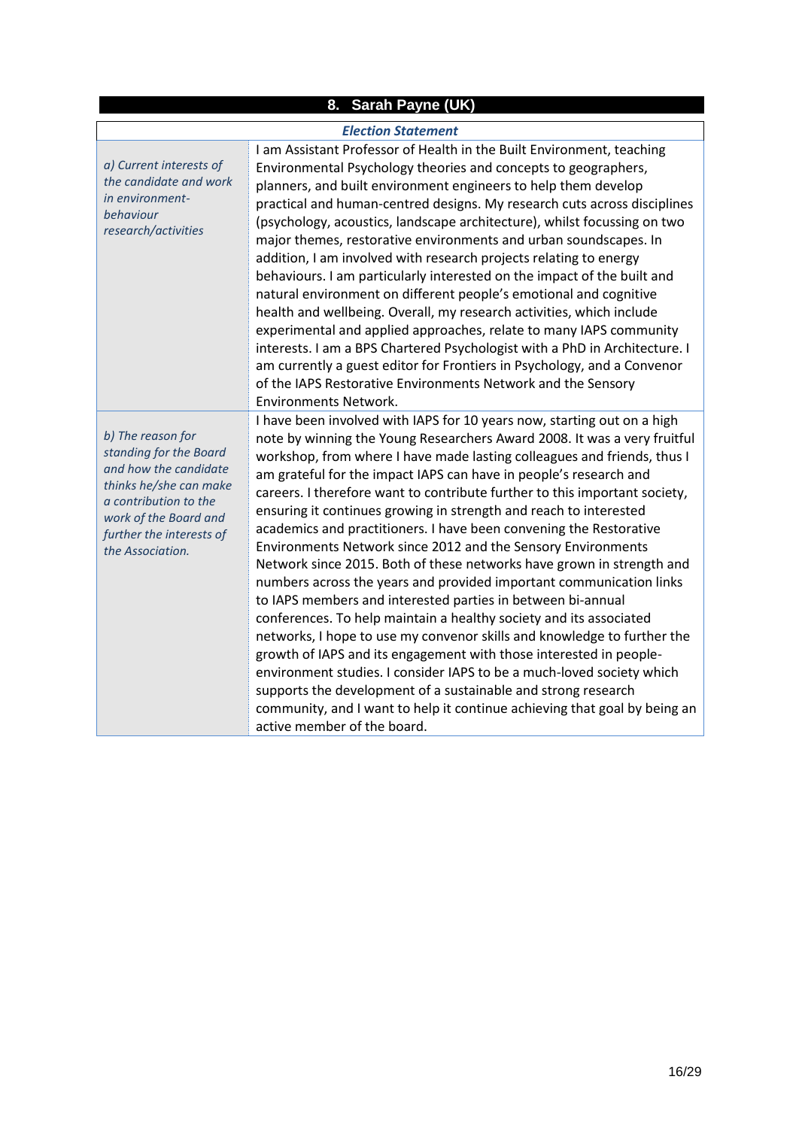### **8. Sarah Payne (UK)**

#### *Election Statement*

*a) Current interests of the candidate and work in environmentbehaviour research/activities*

I am Assistant Professor of Health in the Built Environment, teaching Environmental Psychology theories and concepts to geographers, planners, and built environment engineers to help them develop practical and human-centred designs. My research cuts across disciplines (psychology, acoustics, landscape architecture), whilst focussing on two major themes, restorative environments and urban soundscapes. In addition, I am involved with research projects relating to energy behaviours. I am particularly interested on the impact of the built and natural environment on different people's emotional and cognitive health and wellbeing. Overall, my research activities, which include experimental and applied approaches, relate to many IAPS community interests. I am a BPS Chartered Psychologist with a PhD in Architecture. I am currently a guest editor for Frontiers in Psychology, and a Convenor of the IAPS Restorative Environments Network and the Sensory Environments Network.

*b) The reason for standing for the Board and how the candidate thinks he/she can make a contribution to the work of the Board and further the interests of the Association.* 

I have been involved with IAPS for 10 years now, starting out on a high note by winning the Young Researchers Award 2008. It was a very fruitful workshop, from where I have made lasting colleagues and friends, thus I am grateful for the impact IAPS can have in people's research and careers. I therefore want to contribute further to this important society, ensuring it continues growing in strength and reach to interested academics and practitioners. I have been convening the Restorative Environments Network since 2012 and the Sensory Environments Network since 2015. Both of these networks have grown in strength and numbers across the years and provided important communication links to IAPS members and interested parties in between bi-annual conferences. To help maintain a healthy society and its associated networks, I hope to use my convenor skills and knowledge to further the growth of IAPS and its engagement with those interested in peopleenvironment studies. I consider IAPS to be a much-loved society which supports the development of a sustainable and strong research community, and I want to help it continue achieving that goal by being an active member of the board.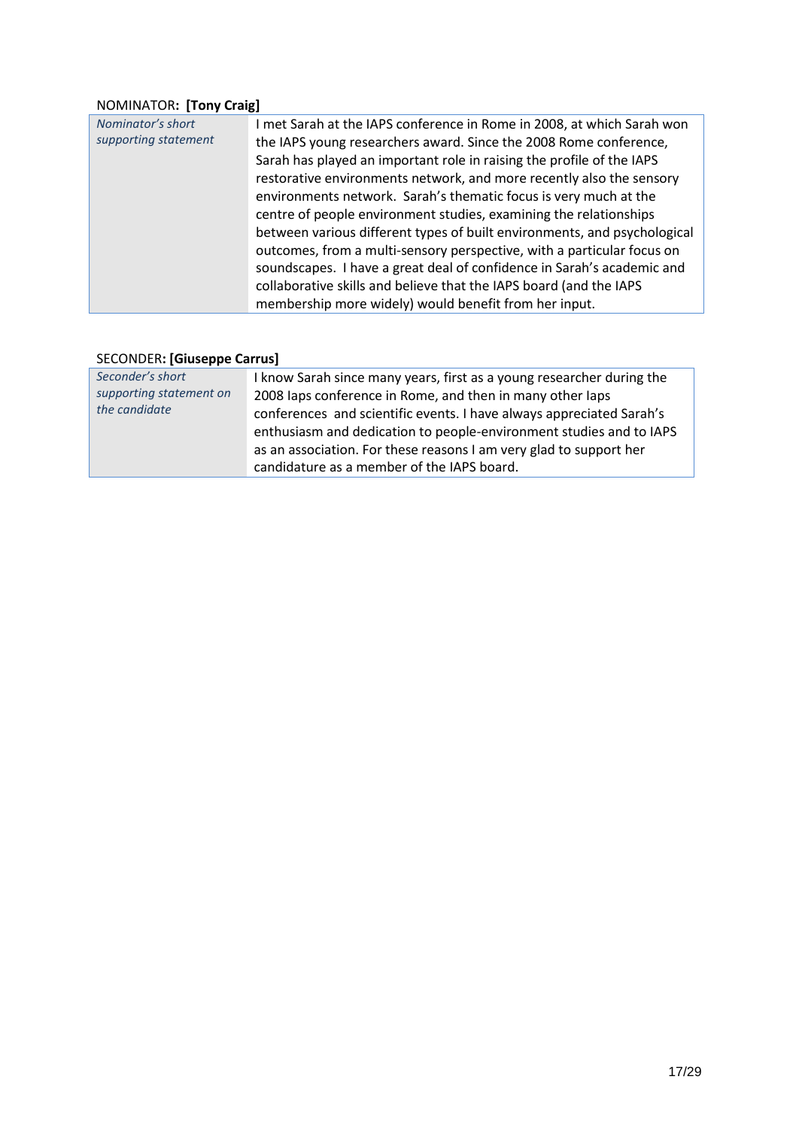# NOMINATOR**: [Tony Craig]**

| Nominator's short    | I met Sarah at the IAPS conference in Rome in 2008, at which Sarah won   |
|----------------------|--------------------------------------------------------------------------|
| supporting statement | the IAPS young researchers award. Since the 2008 Rome conference,        |
|                      | Sarah has played an important role in raising the profile of the IAPS    |
|                      | restorative environments network, and more recently also the sensory     |
|                      | environments network. Sarah's thematic focus is very much at the         |
|                      | centre of people environment studies, examining the relationships        |
|                      | between various different types of built environments, and psychological |
|                      | outcomes, from a multi-sensory perspective, with a particular focus on   |
|                      | soundscapes. I have a great deal of confidence in Sarah's academic and   |
|                      | collaborative skills and believe that the IAPS board (and the IAPS       |
|                      | membership more widely) would benefit from her input.                    |

### SECONDER**: [Giuseppe Carrus]**

| Seconder's short<br>supporting statement on<br>the candidate | I know Sarah since many years, first as a young researcher during the<br>2008 laps conference in Rome, and then in many other laps<br>conferences and scientific events. I have always appreciated Sarah's<br>enthusiasm and dedication to people-environment studies and to IAPS<br>as an association. For these reasons I am very glad to support her |
|--------------------------------------------------------------|---------------------------------------------------------------------------------------------------------------------------------------------------------------------------------------------------------------------------------------------------------------------------------------------------------------------------------------------------------|
|                                                              | candidature as a member of the IAPS board.                                                                                                                                                                                                                                                                                                              |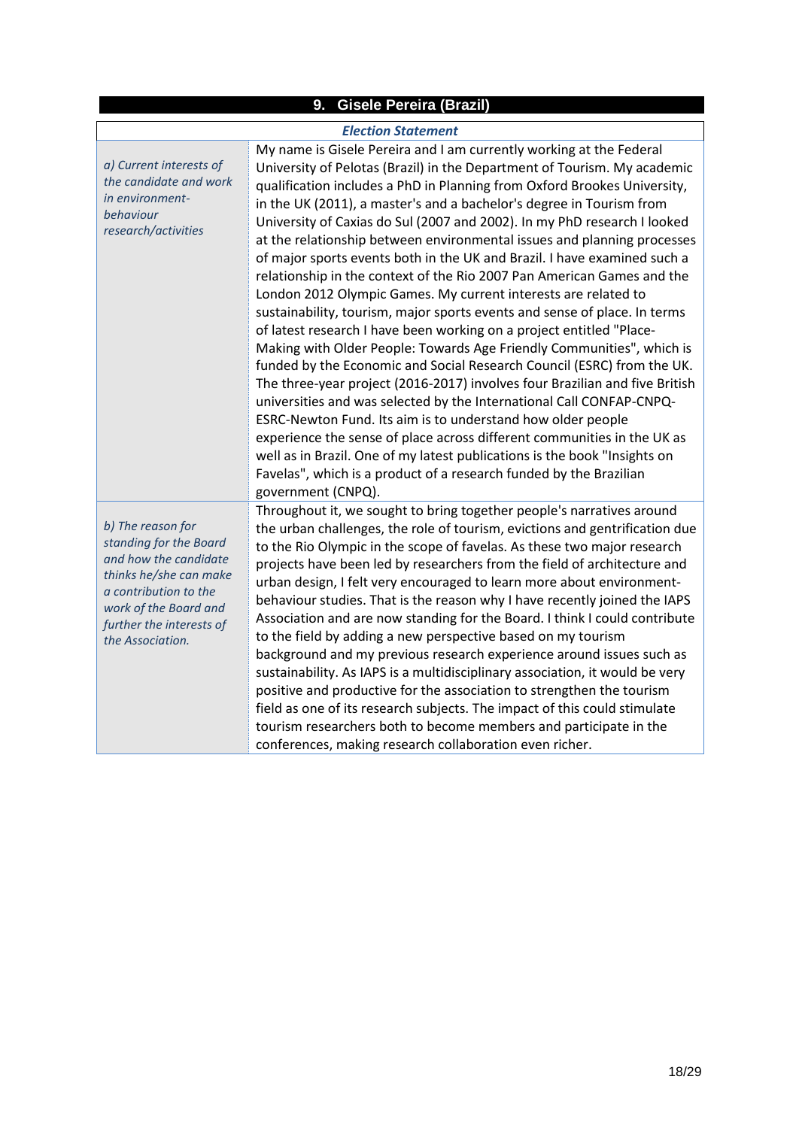| l9. | <b>Gisele Pereira (Brazil)</b> |  |
|-----|--------------------------------|--|
|-----|--------------------------------|--|

#### *Election Statement*

*a) Current interests of the candidate and work in environmentbehaviour research/activities*

My name is Gisele Pereira and I am currently working at the Federal University of Pelotas (Brazil) in the Department of Tourism. My academic qualification includes a PhD in Planning from Oxford Brookes University, in the UK (2011), a master's and a bachelor's degree in Tourism from University of Caxias do Sul (2007 and 2002). In my PhD research I looked at the relationship between environmental issues and planning processes of major sports events both in the UK and Brazil. I have examined such a relationship in the context of the Rio 2007 Pan American Games and the London 2012 Olympic Games. My current interests are related to sustainability, tourism, major sports events and sense of place. In terms of latest research I have been working on a project entitled "Place-Making with Older People: Towards Age Friendly Communities", which is funded by the Economic and Social Research Council (ESRC) from the UK. The three-year project (2016-2017) involves four Brazilian and five British universities and was selected by the International Call CONFAP-CNPQ-ESRC-Newton Fund. Its aim is to understand how older people experience the sense of place across different communities in the UK as well as in Brazil. One of my latest publications is the book "Insights on Favelas", which is a product of a research funded by the Brazilian government (CNPQ).

*b) The reason for standing for the Board and how the candidate thinks he/she can make a contribution to the work of the Board and further the interests of the Association.* 

Throughout it, we sought to bring together people's narratives around the urban challenges, the role of tourism, evictions and gentrification due to the Rio Olympic in the scope of favelas. As these two major research projects have been led by researchers from the field of architecture and urban design, I felt very encouraged to learn more about environmentbehaviour studies. That is the reason why I have recently joined the IAPS Association and are now standing for the Board. I think I could contribute to the field by adding a new perspective based on my tourism background and my previous research experience around issues such as sustainability. As IAPS is a multidisciplinary association, it would be very positive and productive for the association to strengthen the tourism field as one of its research subjects. The impact of this could stimulate tourism researchers both to become members and participate in the conferences, making research collaboration even richer.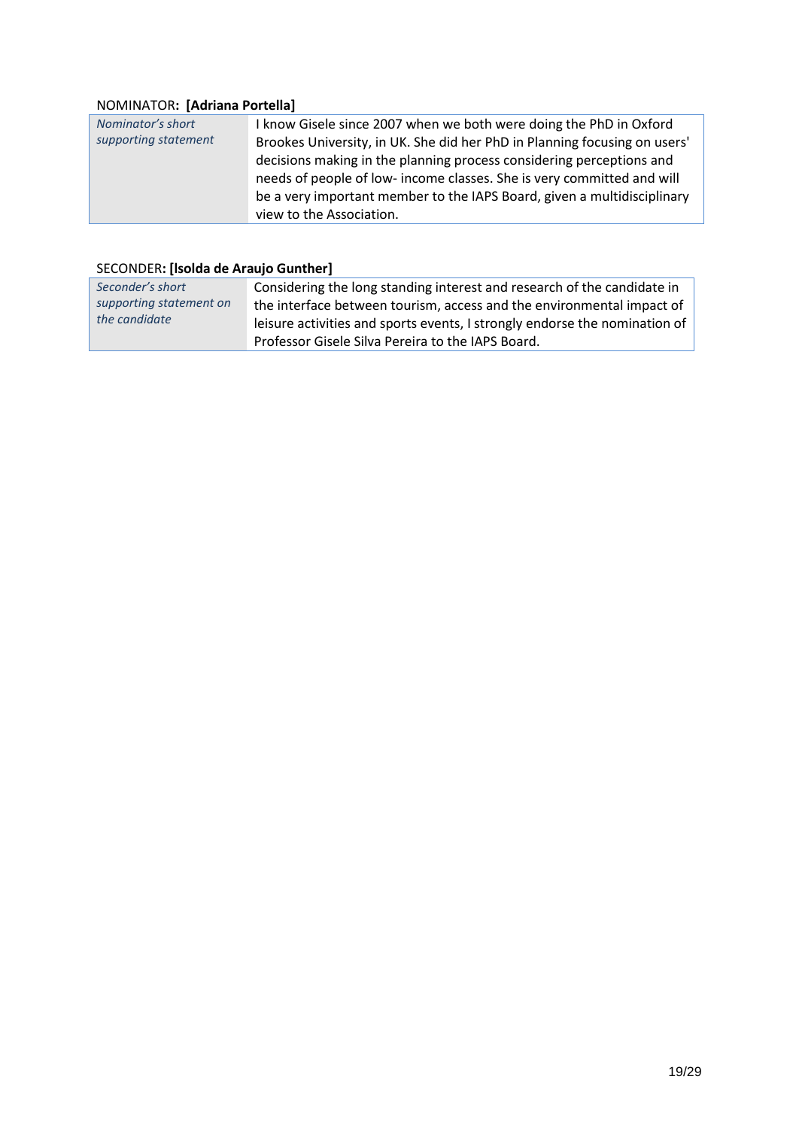# NOMINATOR**: [Adriana Portella]**

| Nominator's short<br>I know Gisele since 2007 when we both were doing the PhD in Oxford<br>supporting statement<br>Brookes University, in UK. She did her PhD in Planning focusing on users'<br>decisions making in the planning process considering perceptions and<br>needs of people of low-income classes. She is very committed and will<br>be a very important member to the IAPS Board, given a multidisciplinary<br>view to the Association. |
|------------------------------------------------------------------------------------------------------------------------------------------------------------------------------------------------------------------------------------------------------------------------------------------------------------------------------------------------------------------------------------------------------------------------------------------------------|
|------------------------------------------------------------------------------------------------------------------------------------------------------------------------------------------------------------------------------------------------------------------------------------------------------------------------------------------------------------------------------------------------------------------------------------------------------|

# SECONDER**: [lsolda de Araujo Gunther]**

| Seconder's short        | Considering the long standing interest and research of the candidate in    |
|-------------------------|----------------------------------------------------------------------------|
| supporting statement on | the interface between tourism, access and the environmental impact of      |
| the candidate           | leisure activities and sports events, I strongly endorse the nomination of |
|                         | Professor Gisele Silva Pereira to the IAPS Board.                          |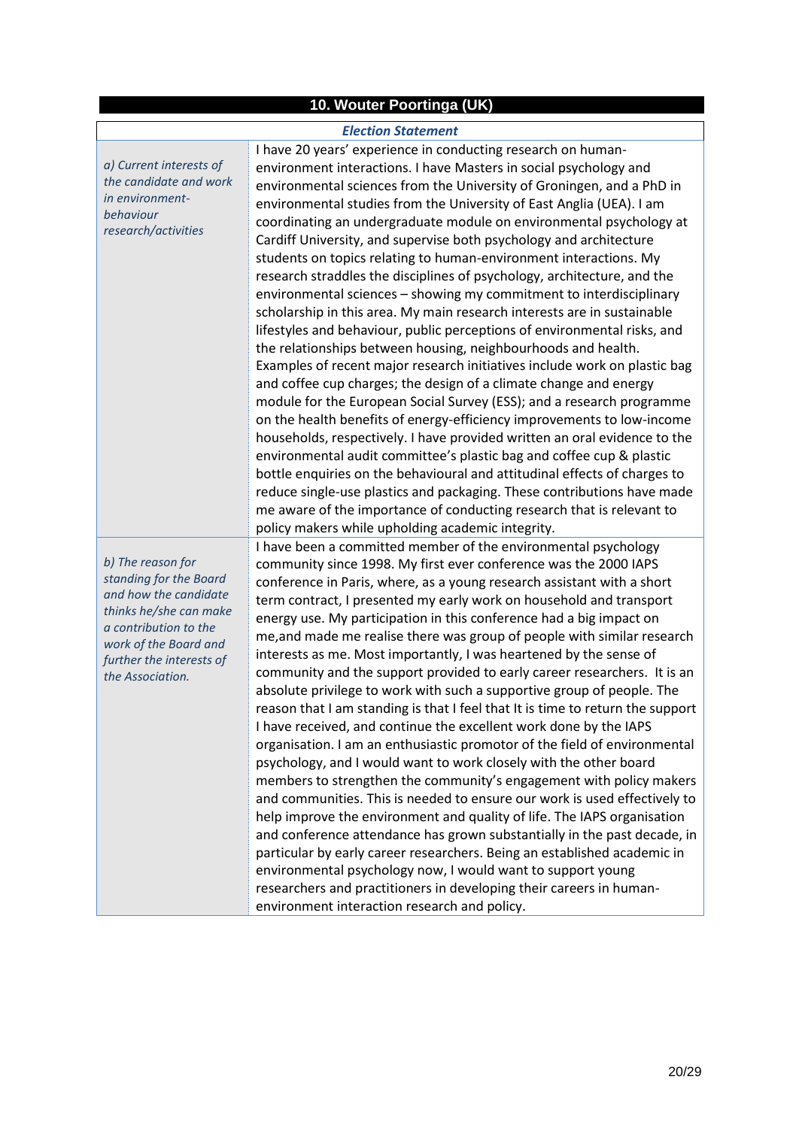#### **10. Wouter Poortinga (UK)**

#### *Election Statement*

*a) Current interests of the candidate and work in environmentbehaviour research/activities*

*b) The reason for standing for the Board and how the candidate thinks he/she can make a contribution to the work of the Board and further the interests of the Association.* 

I have 20 years' experience in conducting research on humanenvironment interactions. I have Masters in social psychology and environmental sciences from the University of Groningen, and a PhD in environmental studies from the University of East Anglia (UEA). I am coordinating an undergraduate module on environmental psychology at Cardiff University, and supervise both psychology and architecture students on topics relating to human-environment interactions. My research straddles the disciplines of psychology, architecture, and the environmental sciences – showing my commitment to interdisciplinary scholarship in this area. My main research interests are in sustainable lifestyles and behaviour, public perceptions of environmental risks, and the relationships between housing, neighbourhoods and health. Examples of recent major research initiatives include work on plastic bag and coffee cup charges; the design of a climate change and energy module for the European Social Survey (ESS); and a research programme on the health benefits of energy-efficiency improvements to low-income households, respectively. I have provided written an oral evidence to the environmental audit committee's plastic bag and coffee cup & plastic bottle enquiries on the behavioural and attitudinal effects of charges to reduce single-use plastics and packaging. These contributions have made me aware of the importance of conducting research that is relevant to policy makers while upholding academic integrity.

I have been a committed member of the environmental psychology community since 1998. My first ever conference was the 2000 IAPS conference in Paris, where, as a young research assistant with a short term contract, I presented my early work on household and transport energy use. My participation in this conference had a big impact on me,and made me realise there was group of people with similar research interests as me. Most importantly, I was heartened by the sense of community and the support provided to early career researchers. It is an absolute privilege to work with such a supportive group of people. The reason that I am standing is that I feel that It is time to return the support I have received, and continue the excellent work done by the IAPS organisation. I am an enthusiastic promotor of the field of environmental psychology, and I would want to work closely with the other board members to strengthen the community's engagement with policy makers and communities. This is needed to ensure our work is used effectively to help improve the environment and quality of life. The IAPS organisation and conference attendance has grown substantially in the past decade, in particular by early career researchers. Being an established academic in environmental psychology now, I would want to support young researchers and practitioners in developing their careers in humanenvironment interaction research and policy.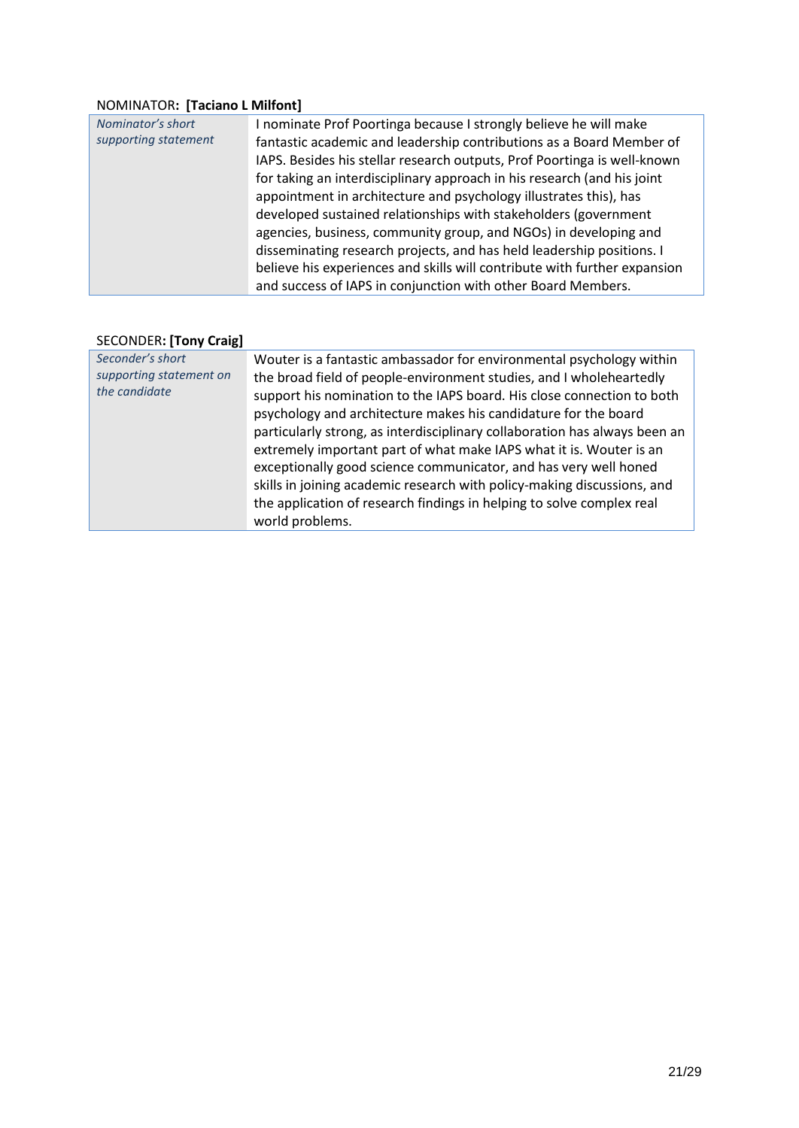# NOMINATOR**: [Taciano L Milfont]**

| Nominator's short    | I nominate Prof Poortinga because I strongly believe he will make         |
|----------------------|---------------------------------------------------------------------------|
| supporting statement | fantastic academic and leadership contributions as a Board Member of      |
|                      | IAPS. Besides his stellar research outputs, Prof Poortinga is well-known  |
|                      | for taking an interdisciplinary approach in his research (and his joint   |
|                      | appointment in architecture and psychology illustrates this), has         |
|                      | developed sustained relationships with stakeholders (government           |
|                      | agencies, business, community group, and NGOs) in developing and          |
|                      | disseminating research projects, and has held leadership positions. I     |
|                      | believe his experiences and skills will contribute with further expansion |
|                      | and success of IAPS in conjunction with other Board Members.              |

# SECONDER**: [Tony Craig]**

| Seconder's short<br>supporting statement on<br>the candidate | Wouter is a fantastic ambassador for environmental psychology within<br>the broad field of people-environment studies, and I wholeheartedly<br>support his nomination to the IAPS board. His close connection to both<br>psychology and architecture makes his candidature for the board<br>particularly strong, as interdisciplinary collaboration has always been an<br>extremely important part of what make IAPS what it is. Wouter is an<br>exceptionally good science communicator, and has very well honed<br>skills in joining academic research with policy-making discussions, and<br>the application of research findings in helping to solve complex real<br>world problems. |
|--------------------------------------------------------------|------------------------------------------------------------------------------------------------------------------------------------------------------------------------------------------------------------------------------------------------------------------------------------------------------------------------------------------------------------------------------------------------------------------------------------------------------------------------------------------------------------------------------------------------------------------------------------------------------------------------------------------------------------------------------------------|
|--------------------------------------------------------------|------------------------------------------------------------------------------------------------------------------------------------------------------------------------------------------------------------------------------------------------------------------------------------------------------------------------------------------------------------------------------------------------------------------------------------------------------------------------------------------------------------------------------------------------------------------------------------------------------------------------------------------------------------------------------------------|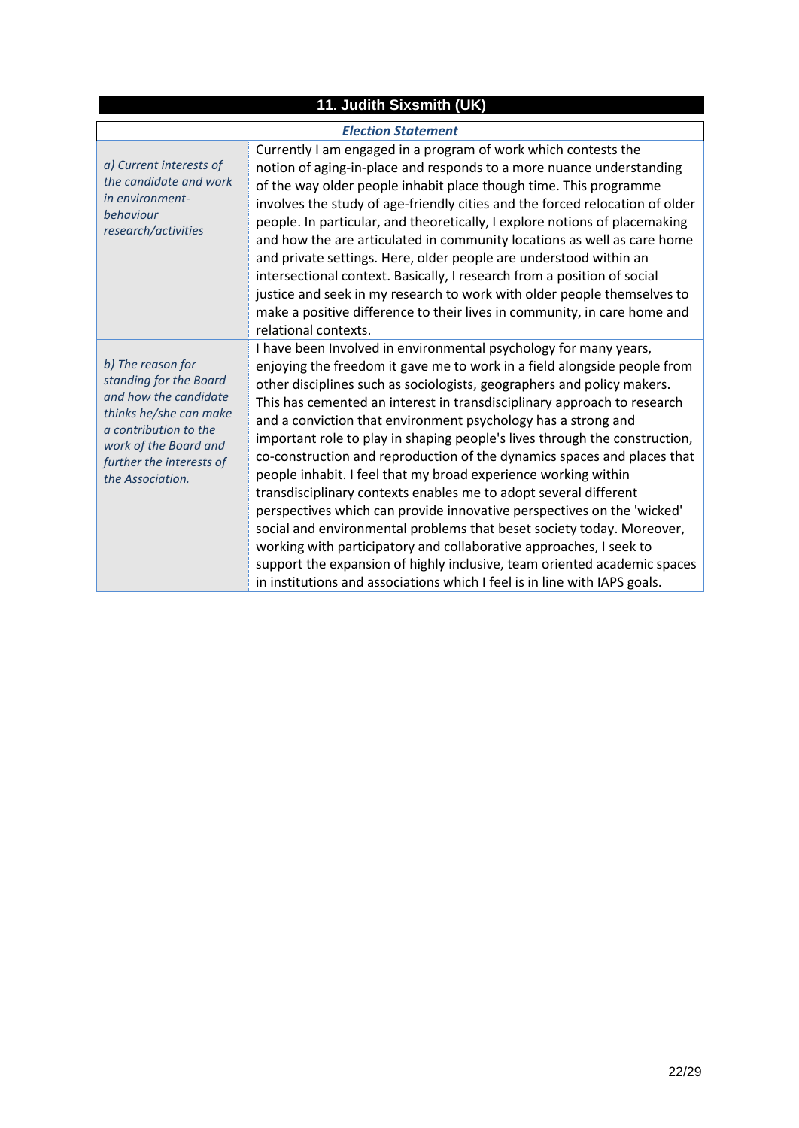| 11. Judith Sixsmith (UK)                                                                                                                                                                         |                                                                                                                                                                                                                                                                                                                                                                                                                                                                                                                                                                                                                                                                                                                                                                                                                                                                                                                                                                                                                                                     |
|--------------------------------------------------------------------------------------------------------------------------------------------------------------------------------------------------|-----------------------------------------------------------------------------------------------------------------------------------------------------------------------------------------------------------------------------------------------------------------------------------------------------------------------------------------------------------------------------------------------------------------------------------------------------------------------------------------------------------------------------------------------------------------------------------------------------------------------------------------------------------------------------------------------------------------------------------------------------------------------------------------------------------------------------------------------------------------------------------------------------------------------------------------------------------------------------------------------------------------------------------------------------|
|                                                                                                                                                                                                  | <b>Election Statement</b>                                                                                                                                                                                                                                                                                                                                                                                                                                                                                                                                                                                                                                                                                                                                                                                                                                                                                                                                                                                                                           |
| a) Current interests of<br>the candidate and work<br>in environment-<br>behaviour<br>research/activities                                                                                         | Currently I am engaged in a program of work which contests the<br>notion of aging-in-place and responds to a more nuance understanding<br>of the way older people inhabit place though time. This programme<br>involves the study of age-friendly cities and the forced relocation of older<br>people. In particular, and theoretically, I explore notions of placemaking<br>and how the are articulated in community locations as well as care home<br>and private settings. Here, older people are understood within an<br>intersectional context. Basically, I research from a position of social<br>justice and seek in my research to work with older people themselves to<br>make a positive difference to their lives in community, in care home and<br>relational contexts.                                                                                                                                                                                                                                                                 |
| b) The reason for<br>standing for the Board<br>and how the candidate<br>thinks he/she can make<br>a contribution to the<br>work of the Board and<br>further the interests of<br>the Association. | I have been Involved in environmental psychology for many years,<br>enjoying the freedom it gave me to work in a field alongside people from<br>other disciplines such as sociologists, geographers and policy makers.<br>This has cemented an interest in transdisciplinary approach to research<br>and a conviction that environment psychology has a strong and<br>important role to play in shaping people's lives through the construction,<br>co-construction and reproduction of the dynamics spaces and places that<br>people inhabit. I feel that my broad experience working within<br>transdisciplinary contexts enables me to adopt several different<br>perspectives which can provide innovative perspectives on the 'wicked'<br>social and environmental problems that beset society today. Moreover,<br>working with participatory and collaborative approaches, I seek to<br>support the expansion of highly inclusive, team oriented academic spaces<br>in institutions and associations which I feel is in line with IAPS goals. |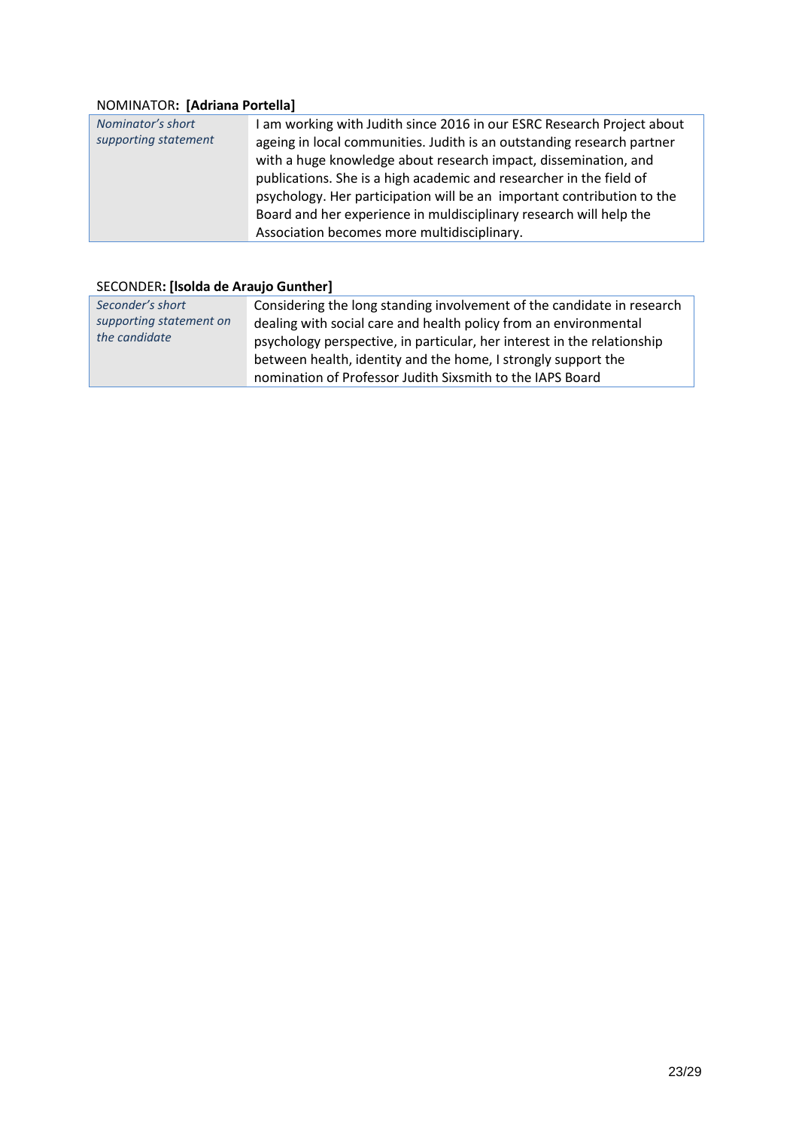# NOMINATOR**: [Adriana Portella]**

| Nominator's short<br>supporting statement | I am working with Judith since 2016 in our ESRC Research Project about<br>ageing in local communities. Judith is an outstanding research partner<br>with a huge knowledge about research impact, dissemination, and<br>publications. She is a high academic and researcher in the field of<br>psychology. Her participation will be an important contribution to the<br>Board and her experience in muldisciplinary research will help the<br>Association becomes more multidisciplinary. |
|-------------------------------------------|-------------------------------------------------------------------------------------------------------------------------------------------------------------------------------------------------------------------------------------------------------------------------------------------------------------------------------------------------------------------------------------------------------------------------------------------------------------------------------------------|
|-------------------------------------------|-------------------------------------------------------------------------------------------------------------------------------------------------------------------------------------------------------------------------------------------------------------------------------------------------------------------------------------------------------------------------------------------------------------------------------------------------------------------------------------------|

# SECONDER**: [lsolda de Araujo Gunther]**

| Seconder's short        | Considering the long standing involvement of the candidate in research  |
|-------------------------|-------------------------------------------------------------------------|
| supporting statement on | dealing with social care and health policy from an environmental        |
| the candidate           | psychology perspective, in particular, her interest in the relationship |
|                         | between health, identity and the home, I strongly support the           |
|                         | nomination of Professor Judith Sixsmith to the IAPS Board               |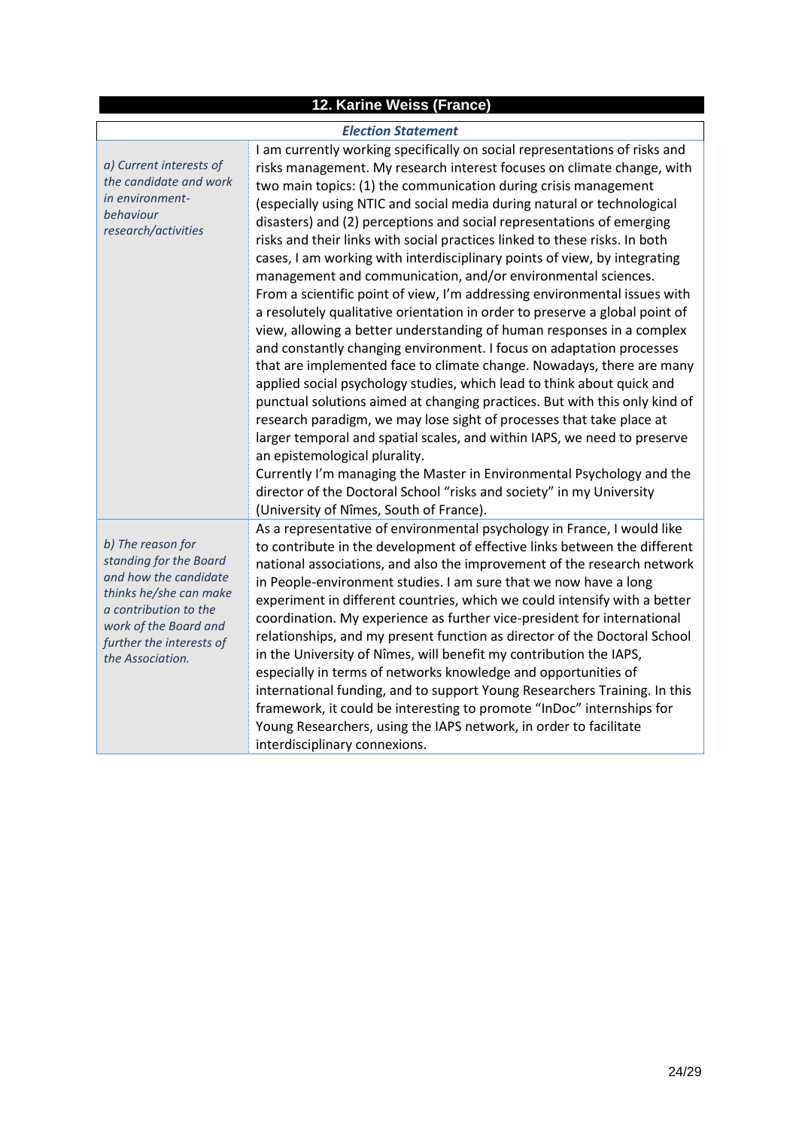| 12. Karine Weiss (France) |  |
|---------------------------|--|
|---------------------------|--|

### *Election Statement*

 $\Gamma$ 

|                                                                                                                                                                                                  | LILLLIUII JLULLIIILIIL                                                                                                                                                                                                                                                                                                                                                                                                                                                                                                                                                                                                                                                                                                                                                                                                                                                                                                                                                                                                                                                                                                                                                                                                                                                                                                                                                                                                                                                                                                                |
|--------------------------------------------------------------------------------------------------------------------------------------------------------------------------------------------------|---------------------------------------------------------------------------------------------------------------------------------------------------------------------------------------------------------------------------------------------------------------------------------------------------------------------------------------------------------------------------------------------------------------------------------------------------------------------------------------------------------------------------------------------------------------------------------------------------------------------------------------------------------------------------------------------------------------------------------------------------------------------------------------------------------------------------------------------------------------------------------------------------------------------------------------------------------------------------------------------------------------------------------------------------------------------------------------------------------------------------------------------------------------------------------------------------------------------------------------------------------------------------------------------------------------------------------------------------------------------------------------------------------------------------------------------------------------------------------------------------------------------------------------|
| a) Current interests of<br>the candidate and work<br>in environment-<br>behaviour<br>research/activities                                                                                         | I am currently working specifically on social representations of risks and<br>risks management. My research interest focuses on climate change, with<br>two main topics: (1) the communication during crisis management<br>(especially using NTIC and social media during natural or technological<br>disasters) and (2) perceptions and social representations of emerging<br>risks and their links with social practices linked to these risks. In both<br>cases, I am working with interdisciplinary points of view, by integrating<br>management and communication, and/or environmental sciences.<br>From a scientific point of view, I'm addressing environmental issues with<br>a resolutely qualitative orientation in order to preserve a global point of<br>view, allowing a better understanding of human responses in a complex<br>and constantly changing environment. I focus on adaptation processes<br>that are implemented face to climate change. Nowadays, there are many<br>applied social psychology studies, which lead to think about quick and<br>punctual solutions aimed at changing practices. But with this only kind of<br>research paradigm, we may lose sight of processes that take place at<br>larger temporal and spatial scales, and within IAPS, we need to preserve<br>an epistemological plurality.<br>Currently I'm managing the Master in Environmental Psychology and the<br>director of the Doctoral School "risks and society" in my University<br>(University of Nîmes, South of France). |
| b) The reason for<br>standing for the Board<br>and how the candidate<br>thinks he/she can make<br>a contribution to the<br>work of the Board and<br>further the interests of<br>the Association. | As a representative of environmental psychology in France, I would like<br>to contribute in the development of effective links between the different<br>national associations, and also the improvement of the research network<br>in People-environment studies. I am sure that we now have a long<br>experiment in different countries, which we could intensify with a better<br>coordination. My experience as further vice-president for international<br>relationships, and my present function as director of the Doctoral School<br>in the University of Nîmes, will benefit my contribution the IAPS,<br>especially in terms of networks knowledge and opportunities of<br>international funding, and to support Young Researchers Training. In this<br>framework, it could be interesting to promote "InDoc" internships for<br>Young Researchers, using the IAPS network, in order to facilitate<br>interdisciplinary connexions.                                                                                                                                                                                                                                                                                                                                                                                                                                                                                                                                                                                          |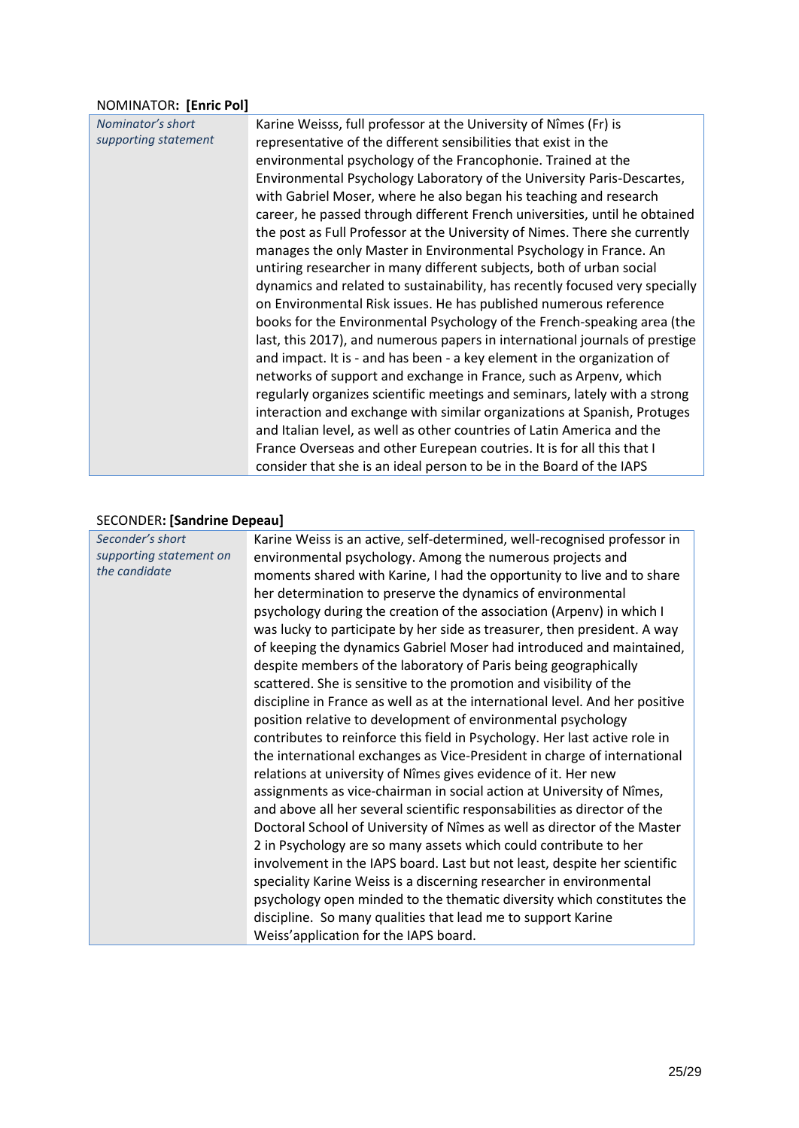# NOMINATOR**: [Enric Pol]**

| Nominator's short    | Karine Weisss, full professor at the University of Nîmes (Fr) is            |
|----------------------|-----------------------------------------------------------------------------|
| supporting statement | representative of the different sensibilities that exist in the             |
|                      | environmental psychology of the Francophonie. Trained at the                |
|                      | Environmental Psychology Laboratory of the University Paris-Descartes,      |
|                      | with Gabriel Moser, where he also began his teaching and research           |
|                      | career, he passed through different French universities, until he obtained  |
|                      | the post as Full Professor at the University of Nimes. There she currently  |
|                      | manages the only Master in Environmental Psychology in France. An           |
|                      | untiring researcher in many different subjects, both of urban social        |
|                      | dynamics and related to sustainability, has recently focused very specially |
|                      | on Environmental Risk issues. He has published numerous reference           |
|                      | books for the Environmental Psychology of the French-speaking area (the     |
|                      | last, this 2017), and numerous papers in international journals of prestige |
|                      | and impact. It is - and has been - a key element in the organization of     |
|                      | networks of support and exchange in France, such as Arpenv, which           |
|                      | regularly organizes scientific meetings and seminars, lately with a strong  |
|                      | interaction and exchange with similar organizations at Spanish, Protuges    |
|                      | and Italian level, as well as other countries of Latin America and the      |
|                      | France Overseas and other Eurepean coutries. It is for all this that I      |
|                      | consider that she is an ideal person to be in the Board of the IAPS         |

### SECONDER**: [Sandrine Depeau]**

| Seconder's short<br>supporting statement on<br>the candidate | Karine Weiss is an active, self-determined, well-recognised professor in<br>environmental psychology. Among the numerous projects and<br>moments shared with Karine, I had the opportunity to live and to share<br>her determination to preserve the dynamics of environmental<br>psychology during the creation of the association (Arpenv) in which I<br>was lucky to participate by her side as treasurer, then president. A way<br>of keeping the dynamics Gabriel Moser had introduced and maintained,<br>despite members of the laboratory of Paris being geographically<br>scattered. She is sensitive to the promotion and visibility of the<br>discipline in France as well as at the international level. And her positive<br>position relative to development of environmental psychology<br>contributes to reinforce this field in Psychology. Her last active role in<br>the international exchanges as Vice-President in charge of international<br>relations at university of Nîmes gives evidence of it. Her new<br>assignments as vice-chairman in social action at University of Nîmes,<br>and above all her several scientific responsabilities as director of the<br>Doctoral School of University of Nîmes as well as director of the Master<br>2 in Psychology are so many assets which could contribute to her<br>involvement in the IAPS board. Last but not least, despite her scientific<br>speciality Karine Weiss is a discerning researcher in environmental<br>psychology open minded to the thematic diversity which constitutes the<br>discipline. So many qualities that lead me to support Karine<br>Weiss'application for the IAPS board. |
|--------------------------------------------------------------|------------------------------------------------------------------------------------------------------------------------------------------------------------------------------------------------------------------------------------------------------------------------------------------------------------------------------------------------------------------------------------------------------------------------------------------------------------------------------------------------------------------------------------------------------------------------------------------------------------------------------------------------------------------------------------------------------------------------------------------------------------------------------------------------------------------------------------------------------------------------------------------------------------------------------------------------------------------------------------------------------------------------------------------------------------------------------------------------------------------------------------------------------------------------------------------------------------------------------------------------------------------------------------------------------------------------------------------------------------------------------------------------------------------------------------------------------------------------------------------------------------------------------------------------------------------------------------------------------------------------------------------------------------------------------|
|                                                              |                                                                                                                                                                                                                                                                                                                                                                                                                                                                                                                                                                                                                                                                                                                                                                                                                                                                                                                                                                                                                                                                                                                                                                                                                                                                                                                                                                                                                                                                                                                                                                                                                                                                              |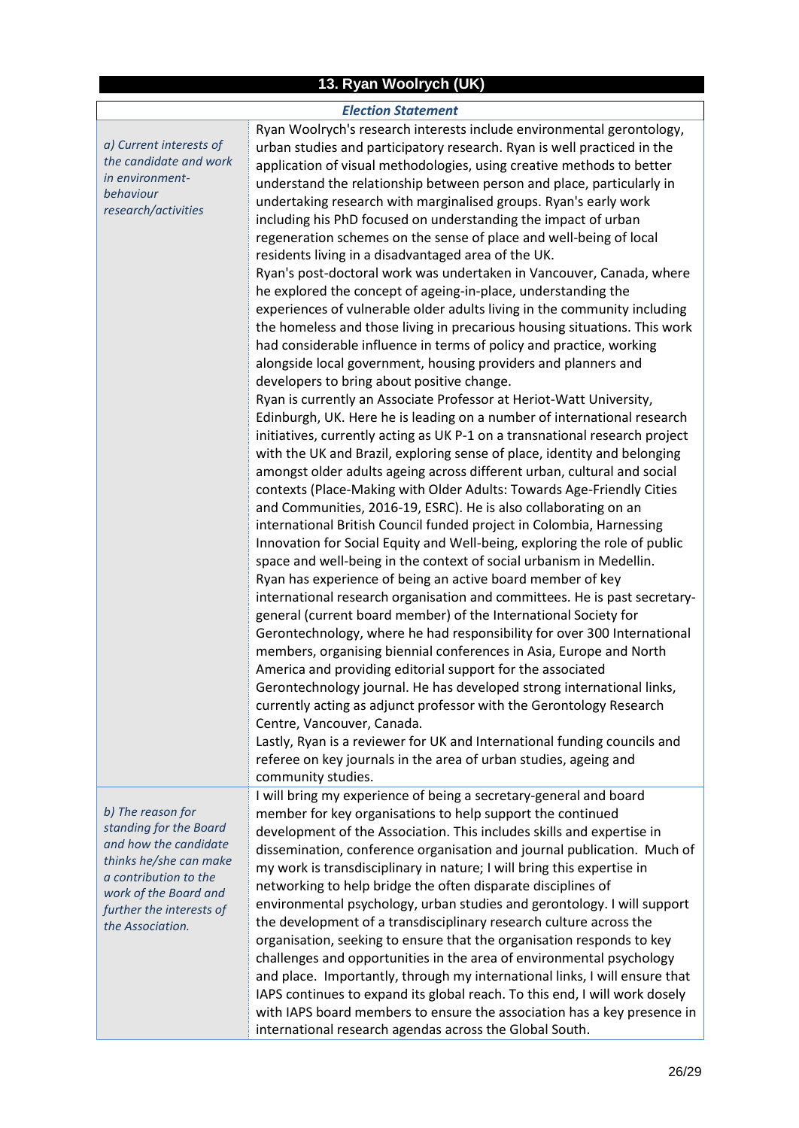# **13. Ryan Woolrych (UK)**

### *Election Statement*

Г

| a) Current interests of<br>the candidate and work<br>in environment-<br>behaviour<br>research/activities                                                                                         | Ryan Woolrych's research interests include environmental gerontology,<br>urban studies and participatory research. Ryan is well practiced in the<br>application of visual methodologies, using creative methods to better<br>understand the relationship between person and place, particularly in<br>undertaking research with marginalised groups. Ryan's early work<br>including his PhD focused on understanding the impact of urban<br>regeneration schemes on the sense of place and well-being of local<br>residents living in a disadvantaged area of the UK.<br>Ryan's post-doctoral work was undertaken in Vancouver, Canada, where<br>he explored the concept of ageing-in-place, understanding the<br>experiences of vulnerable older adults living in the community including<br>the homeless and those living in precarious housing situations. This work<br>had considerable influence in terms of policy and practice, working<br>alongside local government, housing providers and planners and<br>developers to bring about positive change.<br>Ryan is currently an Associate Professor at Heriot-Watt University,<br>Edinburgh, UK. Here he is leading on a number of international research<br>initiatives, currently acting as UK P-1 on a transnational research project<br>with the UK and Brazil, exploring sense of place, identity and belonging<br>amongst older adults ageing across different urban, cultural and social<br>contexts (Place-Making with Older Adults: Towards Age-Friendly Cities<br>and Communities, 2016-19, ESRC). He is also collaborating on an<br>international British Council funded project in Colombia, Harnessing<br>Innovation for Social Equity and Well-being, exploring the role of public<br>space and well-being in the context of social urbanism in Medellin.<br>Ryan has experience of being an active board member of key<br>international research organisation and committees. He is past secretary-<br>general (current board member) of the International Society for<br>Gerontechnology, where he had responsibility for over 300 International<br>members, organising biennial conferences in Asia, Europe and North<br>America and providing editorial support for the associated<br>Gerontechnology journal. He has developed strong international links,<br>currently acting as adjunct professor with the Gerontology Research<br>Centre, Vancouver, Canada.<br>Lastly, Ryan is a reviewer for UK and International funding councils and<br>referee on key journals in the area of urban studies, ageing and<br>community studies. |
|--------------------------------------------------------------------------------------------------------------------------------------------------------------------------------------------------|-----------------------------------------------------------------------------------------------------------------------------------------------------------------------------------------------------------------------------------------------------------------------------------------------------------------------------------------------------------------------------------------------------------------------------------------------------------------------------------------------------------------------------------------------------------------------------------------------------------------------------------------------------------------------------------------------------------------------------------------------------------------------------------------------------------------------------------------------------------------------------------------------------------------------------------------------------------------------------------------------------------------------------------------------------------------------------------------------------------------------------------------------------------------------------------------------------------------------------------------------------------------------------------------------------------------------------------------------------------------------------------------------------------------------------------------------------------------------------------------------------------------------------------------------------------------------------------------------------------------------------------------------------------------------------------------------------------------------------------------------------------------------------------------------------------------------------------------------------------------------------------------------------------------------------------------------------------------------------------------------------------------------------------------------------------------------------------------------------------------------------------------------------------------------------------------------------------------------------------------------------------------------------------------------------------------------------------------------------------------------------------------------------------------------------------------------------------------------------------------------------------------------------------------------------------------------------------------------------------------|
| b) The reason for<br>standing for the Board<br>and how the candidate<br>thinks he/she can make<br>a contribution to the<br>work of the Board and<br>further the interests of<br>the Association. | I will bring my experience of being a secretary-general and board<br>member for key organisations to help support the continued<br>development of the Association. This includes skills and expertise in<br>dissemination, conference organisation and journal publication. Much of<br>my work is transdisciplinary in nature; I will bring this expertise in<br>networking to help bridge the often disparate disciplines of<br>environmental psychology, urban studies and gerontology. I will support<br>the development of a transdisciplinary research culture across the<br>organisation, seeking to ensure that the organisation responds to key<br>challenges and opportunities in the area of environmental psychology<br>and place. Importantly, through my international links, I will ensure that<br>IAPS continues to expand its global reach. To this end, I will work dosely<br>with IAPS board members to ensure the association has a key presence in                                                                                                                                                                                                                                                                                                                                                                                                                                                                                                                                                                                                                                                                                                                                                                                                                                                                                                                                                                                                                                                                                                                                                                                                                                                                                                                                                                                                                                                                                                                                                                                                                                          |

international research agendas across the Global South.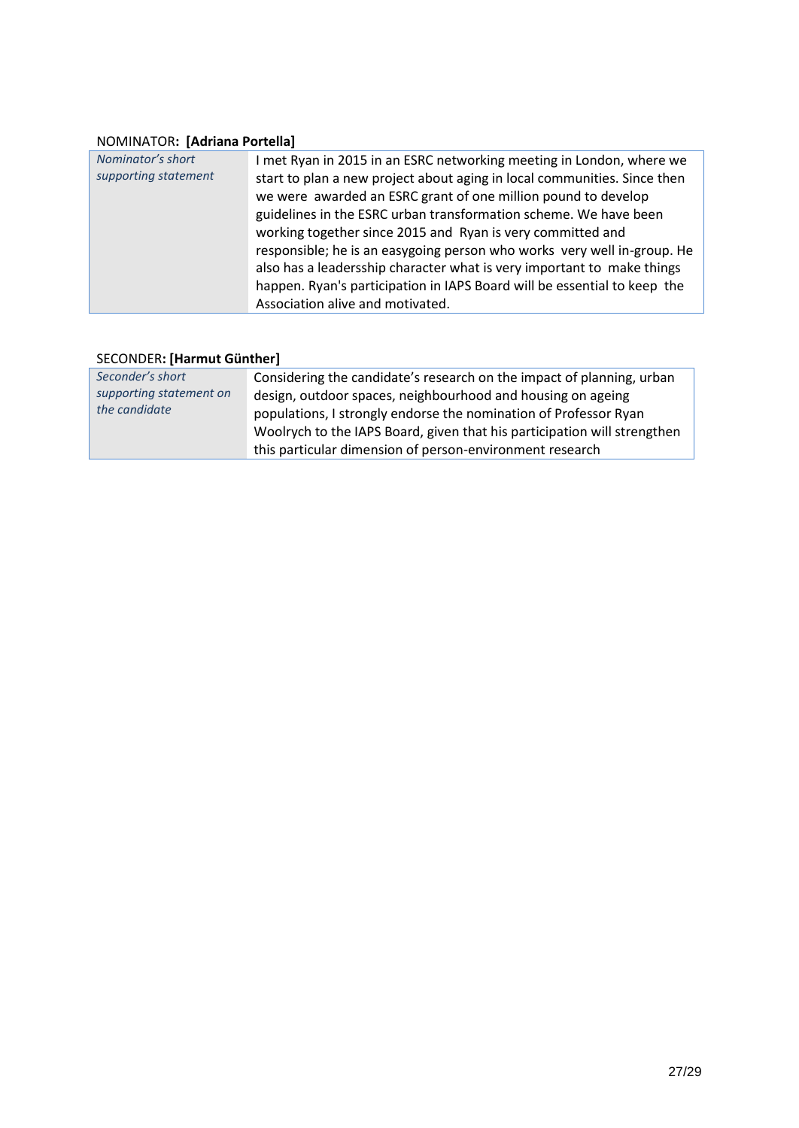# NOMINATOR**: [Adriana Portella]**

| Nominator's short    | I met Ryan in 2015 in an ESRC networking meeting in London, where we     |
|----------------------|--------------------------------------------------------------------------|
| supporting statement | start to plan a new project about aging in local communities. Since then |
|                      | we were awarded an ESRC grant of one million pound to develop            |
|                      | guidelines in the ESRC urban transformation scheme. We have been         |
|                      | working together since 2015 and Ryan is very committed and               |
|                      | responsible; he is an easygoing person who works very well in-group. He  |
|                      | also has a leadersship character what is very important to make things   |
|                      | happen. Ryan's participation in IAPS Board will be essential to keep the |
|                      | Association alive and motivated.                                         |

### SECONDER**: [Harmut Günther]**

| Seconder's short        | Considering the candidate's research on the impact of planning, urban    |
|-------------------------|--------------------------------------------------------------------------|
| supporting statement on | design, outdoor spaces, neighbourhood and housing on ageing              |
| the candidate           | populations, I strongly endorse the nomination of Professor Ryan         |
|                         | Woolrych to the IAPS Board, given that his participation will strengthen |
|                         | this particular dimension of person-environment research                 |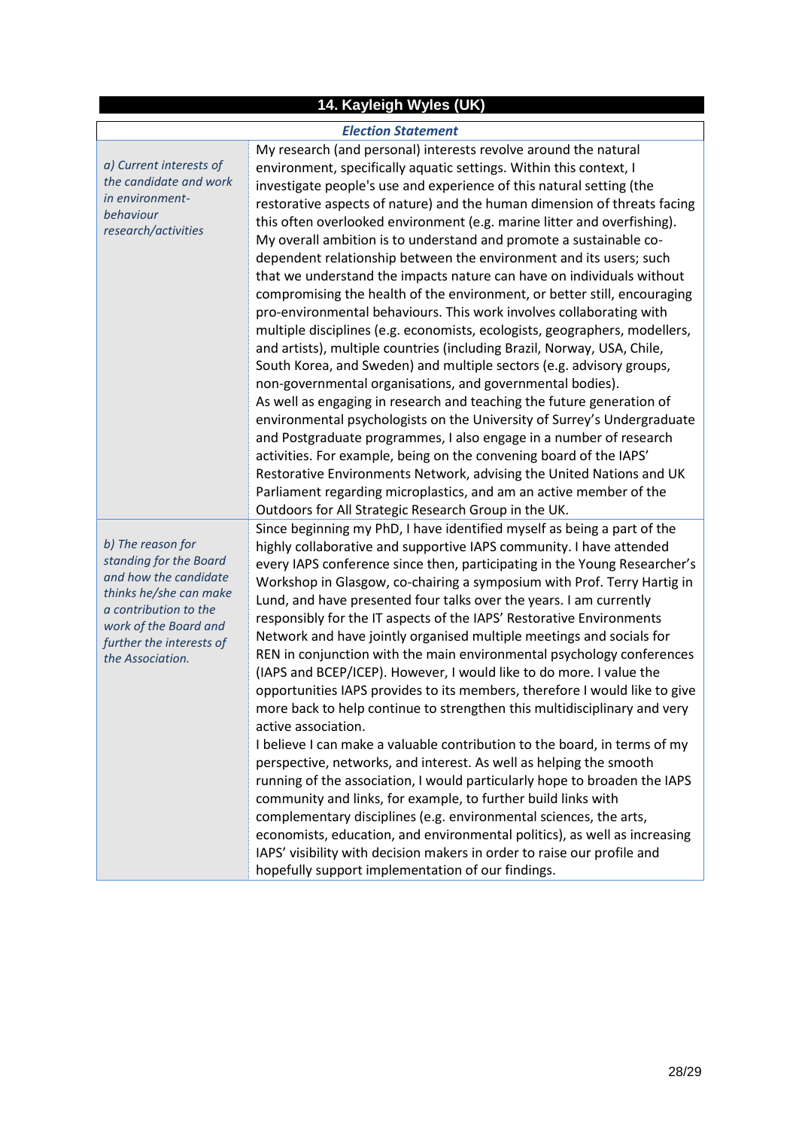### **14. Kayleigh Wyles (UK)**

#### *Election Statement*

*a) Current interests of the candidate and work in environmentbehaviour research/activities*

*b) The reason for standing for the Board and how the candidate thinks he/she can make a contribution to the work of the Board and further the interests of the Association.* 

My research (and personal) interests revolve around the natural environment, specifically aquatic settings. Within this context, I investigate people's use and experience of this natural setting (the restorative aspects of nature) and the human dimension of threats facing this often overlooked environment (e.g. marine litter and overfishing). My overall ambition is to understand and promote a sustainable codependent relationship between the environment and its users; such that we understand the impacts nature can have on individuals without compromising the health of the environment, or better still, encouraging pro-environmental behaviours. This work involves collaborating with multiple disciplines (e.g. economists, ecologists, geographers, modellers, and artists), multiple countries (including Brazil, Norway, USA, Chile, South Korea, and Sweden) and multiple sectors (e.g. advisory groups, non-governmental organisations, and governmental bodies). As well as engaging in research and teaching the future generation of environmental psychologists on the University of Surrey's Undergraduate and Postgraduate programmes, I also engage in a number of research activities. For example, being on the convening board of the IAPS' Restorative Environments Network, advising the United Nations and UK Parliament regarding microplastics, and am an active member of the Outdoors for All Strategic Research Group in the UK.

Since beginning my PhD, I have identified myself as being a part of the highly collaborative and supportive IAPS community. I have attended every IAPS conference since then, participating in the Young Researcher's Workshop in Glasgow, co-chairing a symposium with Prof. Terry Hartig in Lund, and have presented four talks over the years. I am currently responsibly for the IT aspects of the IAPS' Restorative Environments Network and have jointly organised multiple meetings and socials for REN in conjunction with the main environmental psychology conferences (IAPS and BCEP/ICEP). However, I would like to do more. I value the opportunities IAPS provides to its members, therefore I would like to give more back to help continue to strengthen this multidisciplinary and very active association.

I believe I can make a valuable contribution to the board, in terms of my perspective, networks, and interest. As well as helping the smooth running of the association, I would particularly hope to broaden the IAPS community and links, for example, to further build links with complementary disciplines (e.g. environmental sciences, the arts, economists, education, and environmental politics), as well as increasing IAPS' visibility with decision makers in order to raise our profile and hopefully support implementation of our findings.